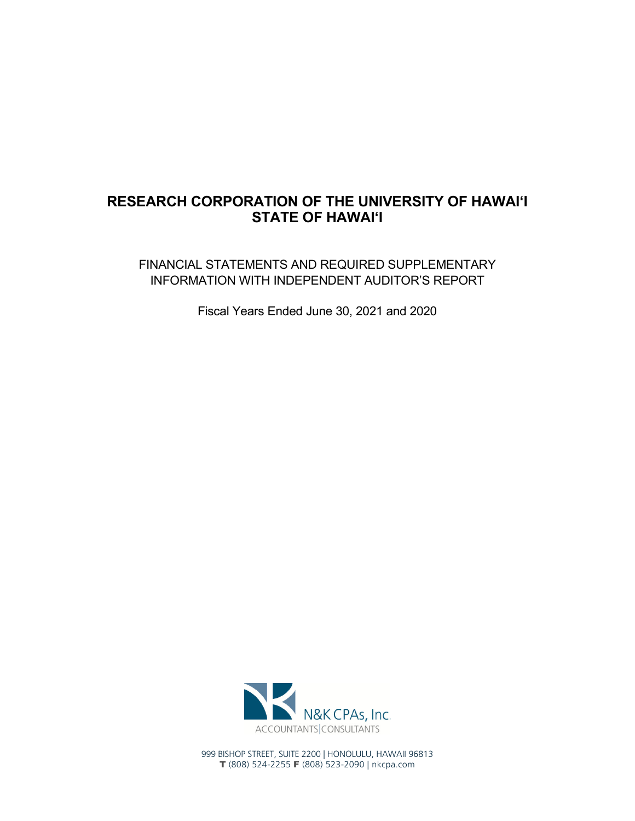# **RESEARCH CORPORATION OF THE UNIVERSITY OF HAWAIʻI STATE OF HAWAIʻI**

FINANCIAL STATEMENTS AND REQUIRED SUPPLEMENTARY INFORMATION WITH INDEPENDENT AUDITOR'S REPORT

Fiscal Years Ended June 30, 2021 and 2020



999 BISHOP STREET, SUITE 2200 | HONOLULU, HAWAII 96813 T (808) 524-2255 F (808) 523-2090 | nkcpa.com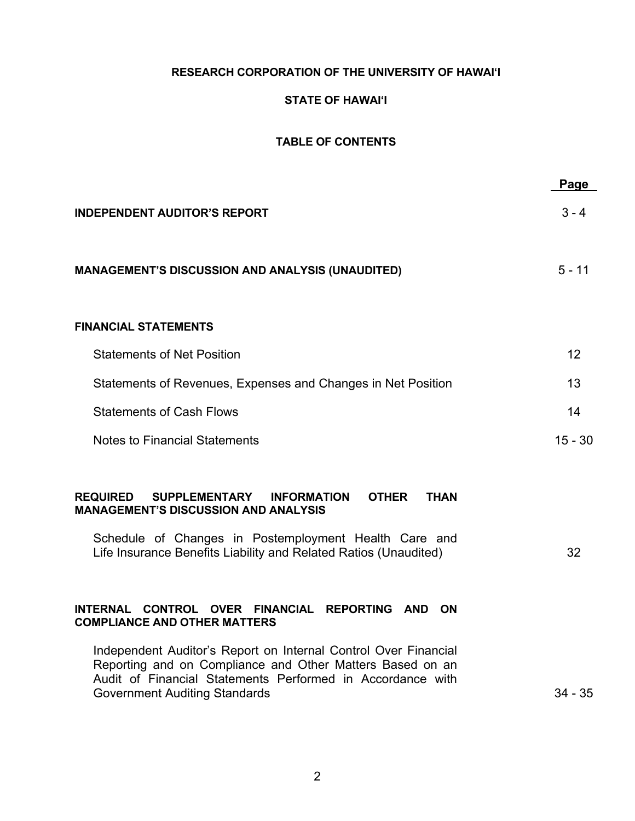## **RESEARCH CORPORATION OF THE UNIVERSITY OF HAWAIʻI**

## **STATE OF HAWAIʻI**

## **TABLE OF CONTENTS**

|                                                                                                                                                                                                                                    | Page      |
|------------------------------------------------------------------------------------------------------------------------------------------------------------------------------------------------------------------------------------|-----------|
| <b>INDEPENDENT AUDITOR'S REPORT</b>                                                                                                                                                                                                | $3 - 4$   |
| <b>MANAGEMENT'S DISCUSSION AND ANALYSIS (UNAUDITED)</b>                                                                                                                                                                            | $5 - 11$  |
| <b>FINANCIAL STATEMENTS</b>                                                                                                                                                                                                        |           |
| <b>Statements of Net Position</b>                                                                                                                                                                                                  | 12        |
| Statements of Revenues, Expenses and Changes in Net Position                                                                                                                                                                       | 13        |
| <b>Statements of Cash Flows</b>                                                                                                                                                                                                    | 14        |
| <b>Notes to Financial Statements</b>                                                                                                                                                                                               | $15 - 30$ |
| <b>REQUIRED</b><br><b>SUPPLEMENTARY</b><br><b>OTHER</b><br><b>THAN</b><br><b>INFORMATION</b><br><b>MANAGEMENT'S DISCUSSION AND ANALYSIS</b>                                                                                        |           |
| Schedule of Changes in Postemployment Health Care and<br>Life Insurance Benefits Liability and Related Ratios (Unaudited)                                                                                                          | 32        |
| INTERNAL CONTROL OVER FINANCIAL REPORTING AND ON<br><b>COMPLIANCE AND OTHER MATTERS</b>                                                                                                                                            |           |
| Independent Auditor's Report on Internal Control Over Financial<br>Reporting and on Compliance and Other Matters Based on an<br>Audit of Financial Statements Performed in Accordance with<br><b>Government Auditing Standards</b> | $34 - 35$ |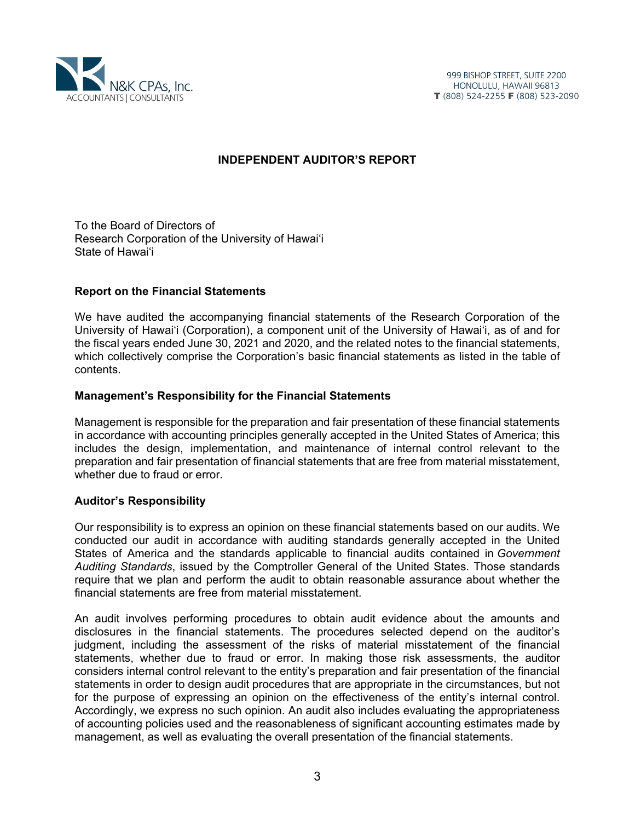

### **INDEPENDENT AUDITOR'S REPORT**

To the Board of Directors of Research Corporation of the University of Hawaiʻi State of Hawaiʻi

### **Report on the Financial Statements**

We have audited the accompanying financial statements of the Research Corporation of the University of Hawaiʻi (Corporation), a component unit of the University of Hawaiʻi, as of and for the fiscal years ended June 30, 2021 and 2020, and the related notes to the financial statements, which collectively comprise the Corporation's basic financial statements as listed in the table of contents.

#### **Management's Responsibility for the Financial Statements**

Management is responsible for the preparation and fair presentation of these financial statements in accordance with accounting principles generally accepted in the United States of America; this includes the design, implementation, and maintenance of internal control relevant to the preparation and fair presentation of financial statements that are free from material misstatement, whether due to fraud or error.

#### **Auditor's Responsibility**

Our responsibility is to express an opinion on these financial statements based on our audits. We conducted our audit in accordance with auditing standards generally accepted in the United States of America and the standards applicable to financial audits contained in *Government Auditing Standards*, issued by the Comptroller General of the United States. Those standards require that we plan and perform the audit to obtain reasonable assurance about whether the financial statements are free from material misstatement.

An audit involves performing procedures to obtain audit evidence about the amounts and disclosures in the financial statements. The procedures selected depend on the auditor's judgment, including the assessment of the risks of material misstatement of the financial statements, whether due to fraud or error. In making those risk assessments, the auditor considers internal control relevant to the entity's preparation and fair presentation of the financial statements in order to design audit procedures that are appropriate in the circumstances, but not for the purpose of expressing an opinion on the effectiveness of the entity's internal control. Accordingly, we express no such opinion. An audit also includes evaluating the appropriateness of accounting policies used and the reasonableness of significant accounting estimates made by management, as well as evaluating the overall presentation of the financial statements.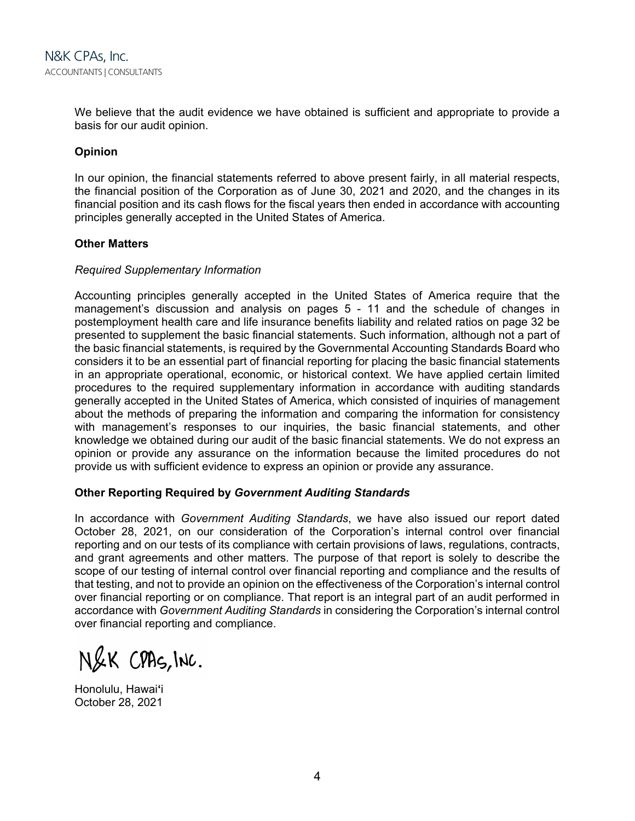We believe that the audit evidence we have obtained is sufficient and appropriate to provide a basis for our audit opinion.

### **Opinion**

In our opinion, the financial statements referred to above present fairly, in all material respects, the financial position of the Corporation as of June 30, 2021 and 2020, and the changes in its financial position and its cash flows for the fiscal years then ended in accordance with accounting principles generally accepted in the United States of America.

#### **Other Matters**

#### *Required Supplementary Information*

Accounting principles generally accepted in the United States of America require that the management's discussion and analysis on pages 5 - 11 and the schedule of changes in postemployment health care and life insurance benefits liability and related ratios on page 32 be presented to supplement the basic financial statements. Such information, although not a part of the basic financial statements, is required by the Governmental Accounting Standards Board who considers it to be an essential part of financial reporting for placing the basic financial statements in an appropriate operational, economic, or historical context. We have applied certain limited procedures to the required supplementary information in accordance with auditing standards generally accepted in the United States of America, which consisted of inquiries of management about the methods of preparing the information and comparing the information for consistency with management's responses to our inquiries, the basic financial statements, and other knowledge we obtained during our audit of the basic financial statements. We do not express an opinion or provide any assurance on the information because the limited procedures do not provide us with sufficient evidence to express an opinion or provide any assurance.

#### **Other Reporting Required by** *Government Auditing Standards*

In accordance with *Government Auditing Standards*, we have also issued our report dated October 28, 2021, on our consideration of the Corporation's internal control over financial reporting and on our tests of its compliance with certain provisions of laws, regulations, contracts, and grant agreements and other matters. The purpose of that report is solely to describe the scope of our testing of internal control over financial reporting and compliance and the results of that testing, and not to provide an opinion on the effectiveness of the Corporation's internal control over financial reporting or on compliance. That report is an integral part of an audit performed in accordance with *Government Auditing Standards* in considering the Corporation's internal control over financial reporting and compliance.

N&K CPAS, INC.

Honolulu, Hawai**ʻ**i October 28, 2021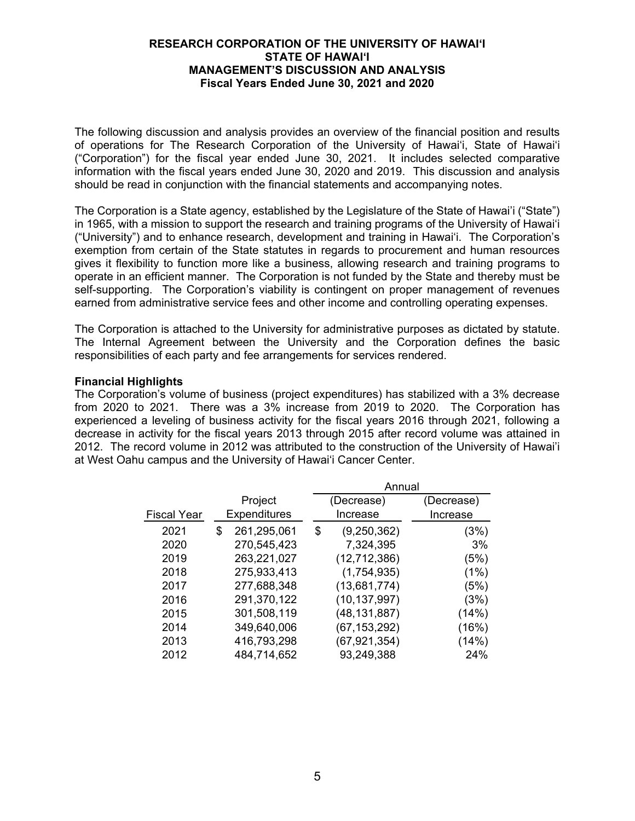The following discussion and analysis provides an overview of the financial position and results of operations for The Research Corporation of the University of Hawai'i, State of Hawai'i ("Corporation") for the fiscal year ended June 30, 2021. It includes selected comparative information with the fiscal years ended June 30, 2020 and 2019. This discussion and analysis should be read in conjunction with the financial statements and accompanying notes.

The Corporation is a State agency, established by the Legislature of the State of Hawai'i ("State") in 1965, with a mission to support the research and training programs of the University of Hawai'i ("University") and to enhance research, development and training in Hawai'i. The Corporation's exemption from certain of the State statutes in regards to procurement and human resources gives it flexibility to function more like a business, allowing research and training programs to operate in an efficient manner. The Corporation is not funded by the State and thereby must be self-supporting. The Corporation's viability is contingent on proper management of revenues earned from administrative service fees and other income and controlling operating expenses.

The Corporation is attached to the University for administrative purposes as dictated by statute. The Internal Agreement between the University and the Corporation defines the basic responsibilities of each party and fee arrangements for services rendered.

### **Financial Highlights**

The Corporation's volume of business (project expenditures) has stabilized with a 3% decrease from 2020 to 2021. There was a 3% increase from 2019 to 2020. The Corporation has experienced a leveling of business activity for the fiscal years 2016 through 2021, following a decrease in activity for the fiscal years 2013 through 2015 after record volume was attained in 2012. The record volume in 2012 was attributed to the construction of the University of Hawai'i at West Oahu campus and the University of Hawai'i Cancer Center.

|                    |                     | Annual            |  |            |  |  |  |
|--------------------|---------------------|-------------------|--|------------|--|--|--|
|                    | Project             | (Decrease)        |  | (Decrease) |  |  |  |
| <b>Fiscal Year</b> | <b>Expenditures</b> | Increase          |  | Increase   |  |  |  |
| 2021               | \$<br>261,295,061   | \$<br>(9,250,362) |  | (3%)       |  |  |  |
| 2020               | 270,545,423         | 7,324,395         |  | 3%         |  |  |  |
| 2019               | 263,221,027         | (12, 712, 386)    |  | (5%)       |  |  |  |
| 2018               | 275,933,413         | (1,754,935)       |  | (1%)       |  |  |  |
| 2017               | 277,688,348         | (13,681,774)      |  | (5%)       |  |  |  |
| 2016               | 291,370,122         | (10, 137, 997)    |  | (3%)       |  |  |  |
| 2015               | 301,508,119         | (48, 131, 887)    |  | (14%)      |  |  |  |
| 2014               | 349,640,006         | (67, 153, 292)    |  | (16%)      |  |  |  |
| 2013               | 416,793,298         | (67, 921, 354)    |  | (14%)      |  |  |  |
| 2012               | 484,714,652         | 93,249,388        |  | 24%        |  |  |  |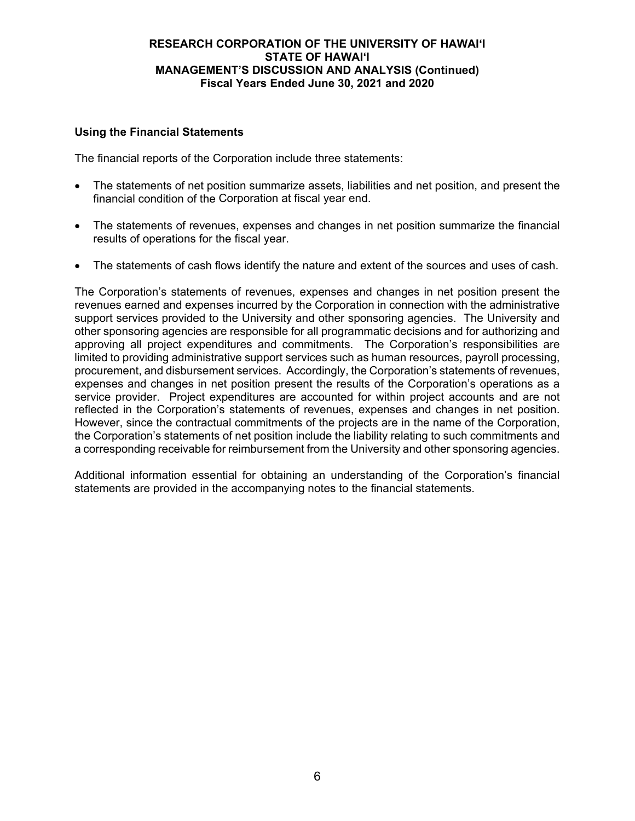### **Using the Financial Statements**

The financial reports of the Corporation include three statements:

- The statements of net position summarize assets, liabilities and net position, and present the financial condition of the Corporation at fiscal year end.
- The statements of revenues, expenses and changes in net position summarize the financial results of operations for the fiscal year.
- The statements of cash flows identify the nature and extent of the sources and uses of cash.

The Corporation's statements of revenues, expenses and changes in net position present the revenues earned and expenses incurred by the Corporation in connection with the administrative support services provided to the University and other sponsoring agencies. The University and other sponsoring agencies are responsible for all programmatic decisions and for authorizing and approving all project expenditures and commitments. The Corporation's responsibilities are limited to providing administrative support services such as human resources, payroll processing, procurement, and disbursement services. Accordingly, the Corporation's statements of revenues, expenses and changes in net position present the results of the Corporation's operations as a service provider. Project expenditures are accounted for within project accounts and are not reflected in the Corporation's statements of revenues, expenses and changes in net position. However, since the contractual commitments of the projects are in the name of the Corporation, the Corporation's statements of net position include the liability relating to such commitments and a corresponding receivable for reimbursement from the University and other sponsoring agencies.

Additional information essential for obtaining an understanding of the Corporation's financial statements are provided in the accompanying notes to the financial statements.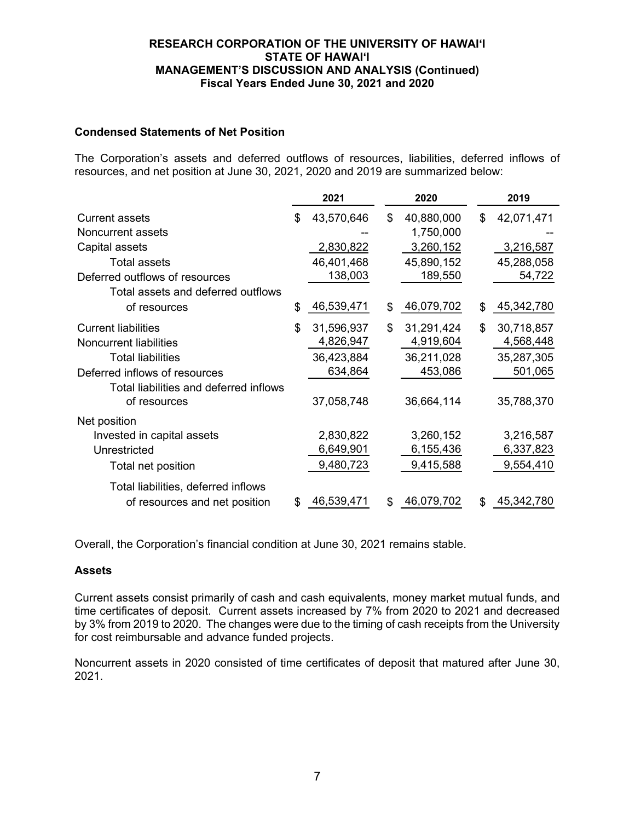### **Condensed Statements of Net Position**

The Corporation's assets and deferred outflows of resources, liabilities, deferred inflows of resources, and net position at June 30, 2021, 2020 and 2019 are summarized below:

|                                                                                         | 2021                                        | 2020                                        | 2019                                        |
|-----------------------------------------------------------------------------------------|---------------------------------------------|---------------------------------------------|---------------------------------------------|
| <b>Current assets</b><br>Noncurrent assets                                              | \$<br>43,570,646                            | \$<br>40,880,000<br>1,750,000               | \$<br>42,071,471                            |
| Capital assets<br><b>Total assets</b>                                                   | 2,830,822<br>46,401,468                     | 3,260,152<br>45,890,152                     | 3,216,587<br>45,288,058                     |
| Deferred outflows of resources                                                          | 138,003                                     | 189,550                                     | 54,722                                      |
| Total assets and deferred outflows<br>of resources                                      | \$<br>46,539,471                            | \$<br>46,079,702                            | \$<br>45,342,780                            |
| <b>Current liabilities</b><br><b>Noncurrent liabilities</b><br><b>Total liabilities</b> | \$<br>31,596,937<br>4,826,947<br>36,423,884 | \$<br>31,291,424<br>4,919,604<br>36,211,028 | \$<br>30,718,857<br>4,568,448<br>35,287,305 |
| Deferred inflows of resources<br>Total liabilities and deferred inflows                 | 634,864                                     | 453,086                                     | 501,065                                     |
| of resources<br>Net position                                                            | 37,058,748                                  | 36,664,114                                  | 35,788,370                                  |
| Invested in capital assets<br>Unrestricted<br>Total net position                        | 2,830,822<br>6,649,901<br>9,480,723         | 3,260,152<br>6,155,436<br>9,415,588         | 3,216,587<br>6,337,823<br>9,554,410         |
| Total liabilities, deferred inflows<br>of resources and net position                    | \$<br>46,539,471                            | \$<br>46,079,702                            | \$<br>45,342,780                            |

Overall, the Corporation's financial condition at June 30, 2021 remains stable.

#### **Assets**

Current assets consist primarily of cash and cash equivalents, money market mutual funds, and time certificates of deposit. Current assets increased by 7% from 2020 to 2021 and decreased by 3% from 2019 to 2020. The changes were due to the timing of cash receipts from the University for cost reimbursable and advance funded projects.

Noncurrent assets in 2020 consisted of time certificates of deposit that matured after June 30, 2021.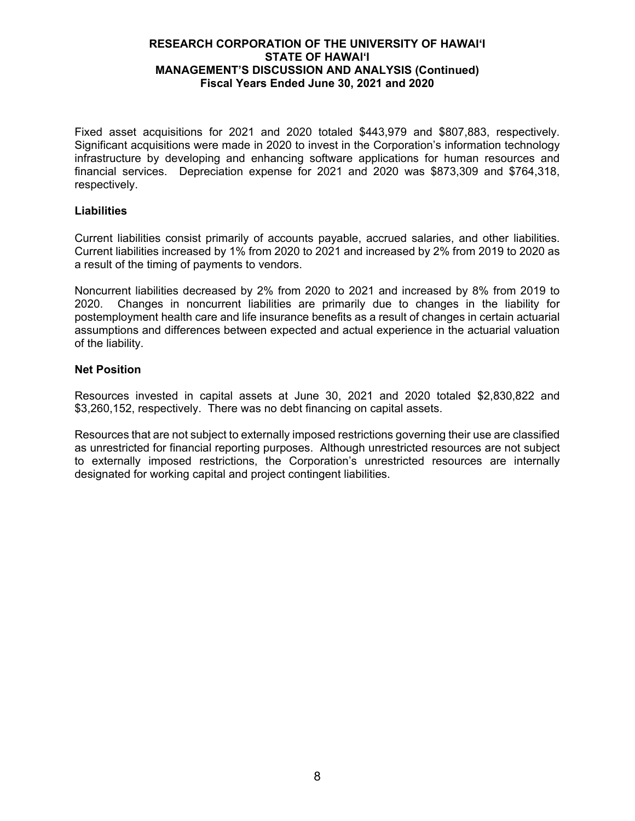Fixed asset acquisitions for 2021 and 2020 totaled \$443,979 and \$807,883, respectively. Significant acquisitions were made in 2020 to invest in the Corporation's information technology infrastructure by developing and enhancing software applications for human resources and financial services. Depreciation expense for 2021 and 2020 was \$873,309 and \$764,318, respectively.

### **Liabilities**

Current liabilities consist primarily of accounts payable, accrued salaries, and other liabilities. Current liabilities increased by 1% from 2020 to 2021 and increased by 2% from 2019 to 2020 as a result of the timing of payments to vendors.

Noncurrent liabilities decreased by 2% from 2020 to 2021 and increased by 8% from 2019 to 2020. Changes in noncurrent liabilities are primarily due to changes in the liability for postemployment health care and life insurance benefits as a result of changes in certain actuarial assumptions and differences between expected and actual experience in the actuarial valuation of the liability.

#### **Net Position**

Resources invested in capital assets at June 30, 2021 and 2020 totaled \$2,830,822 and \$3,260,152, respectively. There was no debt financing on capital assets.

Resources that are not subject to externally imposed restrictions governing their use are classified as unrestricted for financial reporting purposes. Although unrestricted resources are not subject to externally imposed restrictions, the Corporation's unrestricted resources are internally designated for working capital and project contingent liabilities.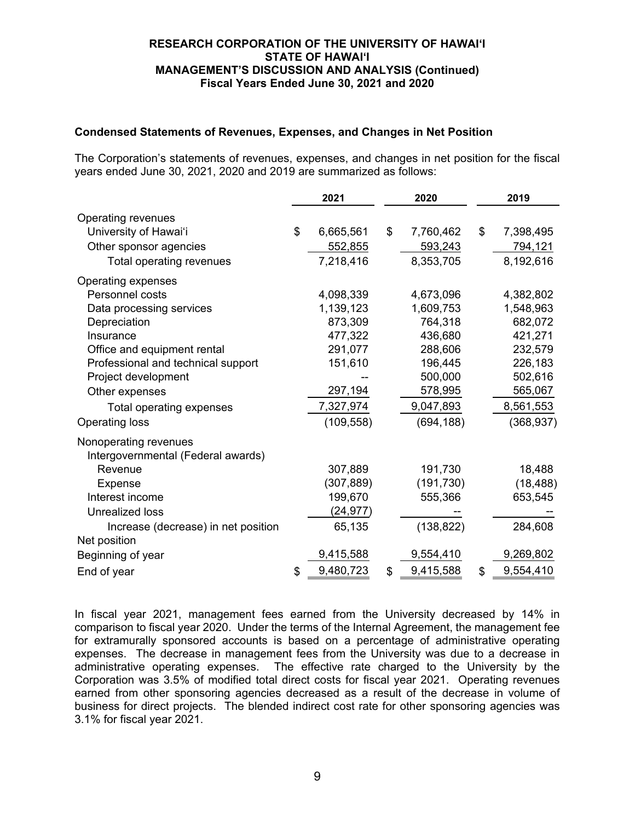#### **Condensed Statements of Revenues, Expenses, and Changes in Net Position**

The Corporation's statements of revenues, expenses, and changes in net position for the fiscal years ended June 30, 2021, 2020 and 2019 are summarized as follows:

|                                     | 2021            | 2020            | 2019            |
|-------------------------------------|-----------------|-----------------|-----------------|
| <b>Operating revenues</b>           |                 |                 |                 |
| University of Hawai'i               | \$<br>6,665,561 | \$<br>7,760,462 | \$<br>7,398,495 |
| Other sponsor agencies              | 552,855         | 593,243         | 794,121         |
| Total operating revenues            | 7,218,416       | 8,353,705       | 8,192,616       |
| Operating expenses                  |                 |                 |                 |
| Personnel costs                     | 4,098,339       | 4,673,096       | 4,382,802       |
| Data processing services            | 1,139,123       | 1,609,753       | 1,548,963       |
| Depreciation                        | 873,309         | 764,318         | 682,072         |
| Insurance                           | 477,322         | 436,680         | 421,271         |
| Office and equipment rental         | 291,077         | 288,606         | 232,579         |
| Professional and technical support  | 151,610         | 196,445         | 226,183         |
| Project development                 |                 | 500,000         | 502,616         |
| Other expenses                      | 297,194         | 578,995         | 565,067         |
| Total operating expenses            | 7,327,974       | 9,047,893       | 8,561,553       |
| <b>Operating loss</b>               | (109, 558)      | (694, 188)      | (368, 937)      |
| Nonoperating revenues               |                 |                 |                 |
| Intergovernmental (Federal awards)  |                 |                 |                 |
| Revenue                             | 307,889         | 191,730         | 18,488          |
| Expense                             | (307, 889)      | (191, 730)      | (18, 488)       |
| Interest income                     | 199,670         | 555,366         | 653,545         |
| Unrealized loss                     | (24, 977)       |                 |                 |
| Increase (decrease) in net position | 65,135          | (138, 822)      | 284,608         |
| Net position                        |                 |                 |                 |
| Beginning of year                   | 9,415,588       | 9,554,410       | 9,269,802       |
| End of year                         | \$<br>9,480,723 | \$<br>9,415,588 | \$<br>9,554,410 |

In fiscal year 2021, management fees earned from the University decreased by 14% in comparison to fiscal year 2020. Under the terms of the Internal Agreement, the management fee for extramurally sponsored accounts is based on a percentage of administrative operating expenses. The decrease in management fees from the University was due to a decrease in administrative operating expenses. The effective rate charged to the University by the Corporation was 3.5% of modified total direct costs for fiscal year 2021. Operating revenues earned from other sponsoring agencies decreased as a result of the decrease in volume of business for direct projects. The blended indirect cost rate for other sponsoring agencies was 3.1% for fiscal year 2021.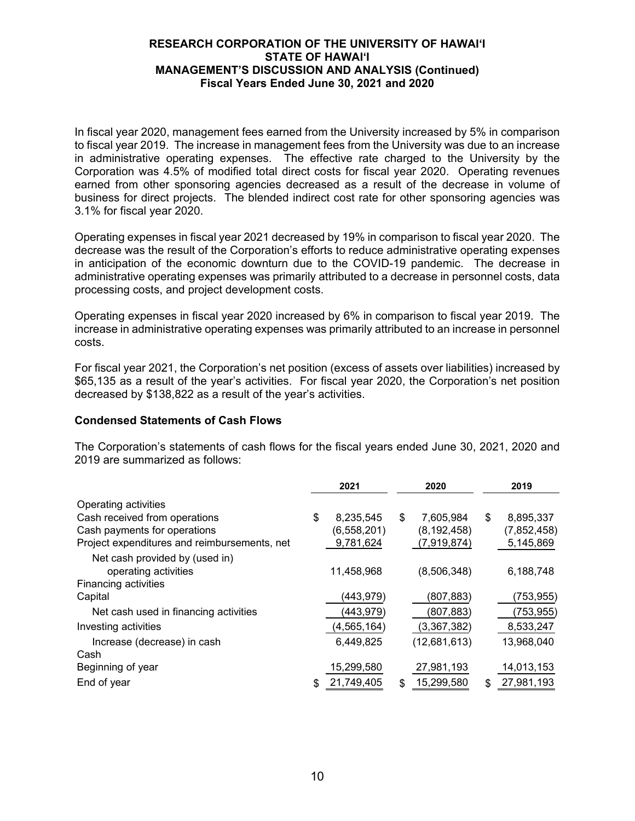In fiscal year 2020, management fees earned from the University increased by 5% in comparison to fiscal year 2019. The increase in management fees from the University was due to an increase in administrative operating expenses. The effective rate charged to the University by the Corporation was 4.5% of modified total direct costs for fiscal year 2020. Operating revenues earned from other sponsoring agencies decreased as a result of the decrease in volume of business for direct projects. The blended indirect cost rate for other sponsoring agencies was 3.1% for fiscal year 2020.

Operating expenses in fiscal year 2021 decreased by 19% in comparison to fiscal year 2020. The decrease was the result of the Corporation's efforts to reduce administrative operating expenses in anticipation of the economic downturn due to the COVID-19 pandemic. The decrease in administrative operating expenses was primarily attributed to a decrease in personnel costs, data processing costs, and project development costs.

Operating expenses in fiscal year 2020 increased by 6% in comparison to fiscal year 2019. The increase in administrative operating expenses was primarily attributed to an increase in personnel costs.

For fiscal year 2021, the Corporation's net position (excess of assets over liabilities) increased by \$65,135 as a result of the year's activities. For fiscal year 2020, the Corporation's net position decreased by \$138,822 as a result of the year's activities.

### **Condensed Statements of Cash Flows**

The Corporation's statements of cash flows for the fiscal years ended June 30, 2021, 2020 and 2019 are summarized as follows:

|                                              | 2021 |               | 2020             |     | 2019        |  |
|----------------------------------------------|------|---------------|------------------|-----|-------------|--|
| Operating activities                         |      |               |                  |     |             |  |
| Cash received from operations                | \$   | 8,235,545     | \$<br>7,605,984  | \$  | 8,895,337   |  |
| Cash payments for operations                 |      | (6, 558, 201) | (8, 192, 458)    |     | (7,852,458) |  |
| Project expenditures and reimbursements, net |      | 9,781,624     | (7,919,874)      |     | 5,145,869   |  |
| Net cash provided by (used in)               |      |               |                  |     |             |  |
| operating activities                         |      | 11,458,968    | (8,506,348)      |     | 6,188,748   |  |
| Financing activities                         |      |               |                  |     |             |  |
| Capital                                      |      | (443,979)     | (807,883)        |     | (753,955)   |  |
| Net cash used in financing activities        |      | (443,979)     | (807, 883)       |     | (753,955)   |  |
| Investing activities                         |      | (4, 565, 164) | (3,367,382)      |     | 8,533,247   |  |
| Increase (decrease) in cash                  |      | 6,449,825     | (12,681,613)     |     | 13,968,040  |  |
| Cash                                         |      |               |                  |     |             |  |
| Beginning of year                            |      | 15,299,580    | 27,981,193       |     | 14,013,153  |  |
| End of year                                  |      | 21,749,405    | \$<br>15,299,580 | \$. | 27,981,193  |  |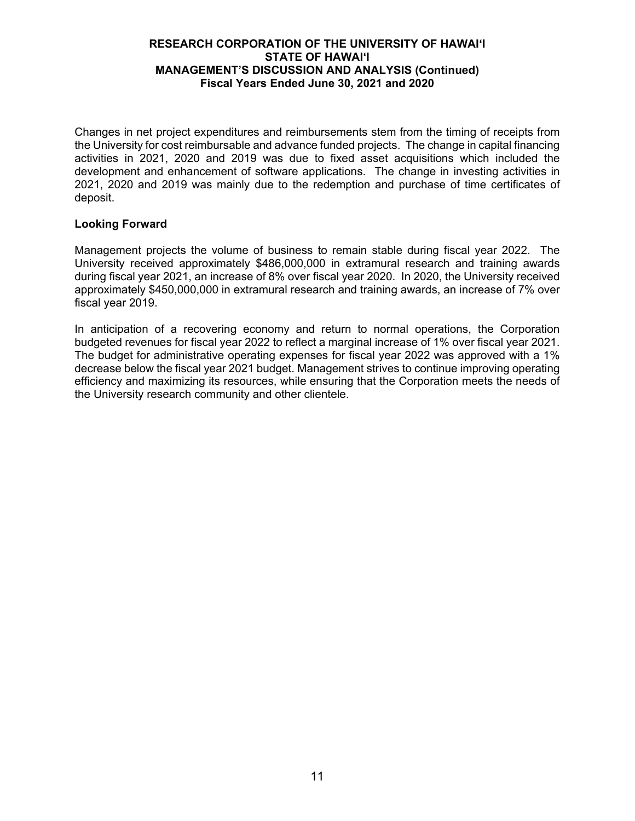Changes in net project expenditures and reimbursements stem from the timing of receipts from the University for cost reimbursable and advance funded projects. The change in capital financing activities in 2021, 2020 and 2019 was due to fixed asset acquisitions which included the development and enhancement of software applications. The change in investing activities in 2021, 2020 and 2019 was mainly due to the redemption and purchase of time certificates of deposit.

### **Looking Forward**

Management projects the volume of business to remain stable during fiscal year 2022. The University received approximately \$486,000,000 in extramural research and training awards during fiscal year 2021, an increase of 8% over fiscal year 2020. In 2020, the University received approximately \$450,000,000 in extramural research and training awards, an increase of 7% over fiscal year 2019.

In anticipation of a recovering economy and return to normal operations, the Corporation budgeted revenues for fiscal year 2022 to reflect a marginal increase of 1% over fiscal year 2021. The budget for administrative operating expenses for fiscal year 2022 was approved with a 1% decrease below the fiscal year 2021 budget. Management strives to continue improving operating efficiency and maximizing its resources, while ensuring that the Corporation meets the needs of the University research community and other clientele.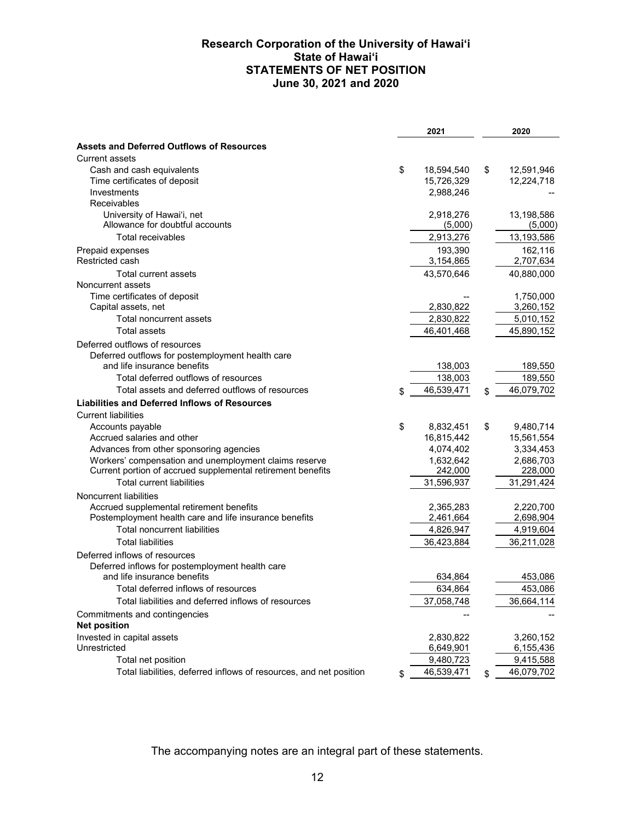### **Research Corporation of the University of Hawaiʻi State of Hawaiʻi STATEMENTS OF NET POSITION June 30, 2021 and 2020**

|                                                                                                                      | 2021                   | 2020                   |
|----------------------------------------------------------------------------------------------------------------------|------------------------|------------------------|
| <b>Assets and Deferred Outflows of Resources</b>                                                                     |                        |                        |
| <b>Current assets</b>                                                                                                |                        |                        |
| Cash and cash equivalents                                                                                            | \$<br>18,594,540       | \$<br>12,591,946       |
| Time certificates of deposit                                                                                         | 15,726,329             | 12,224,718             |
| Investments                                                                                                          | 2,988,246              |                        |
| <b>Receivables</b>                                                                                                   |                        |                        |
| University of Hawai'i, net                                                                                           | 2,918,276              | 13,198,586             |
| Allowance for doubtful accounts                                                                                      | (5,000)                | (5,000)                |
| <b>Total receivables</b>                                                                                             | 2,913,276              | 13,193,586             |
| Prepaid expenses                                                                                                     | 193,390                | 162,116                |
| Restricted cash                                                                                                      | 3,154,865              | 2,707,634              |
| Total current assets                                                                                                 | 43,570,646             | 40,880,000             |
| Noncurrent assets                                                                                                    |                        |                        |
| Time certificates of deposit                                                                                         |                        | 1,750,000              |
| Capital assets, net                                                                                                  | 2,830,822              | 3,260,152              |
| Total noncurrent assets                                                                                              | 2,830,822              | 5,010,152              |
| Total assets                                                                                                         | 46,401,468             | 45,890,152             |
| Deferred outflows of resources                                                                                       |                        |                        |
| Deferred outflows for postemployment health care                                                                     |                        |                        |
| and life insurance benefits                                                                                          | 138,003                | 189,550                |
| Total deferred outflows of resources                                                                                 | 138,003                | 189,550                |
| Total assets and deferred outflows of resources                                                                      | \$<br>46,539,471       | \$<br>46,079,702       |
| <b>Liabilities and Deferred Inflows of Resources</b>                                                                 |                        |                        |
| <b>Current liabilities</b>                                                                                           |                        |                        |
| Accounts payable                                                                                                     | \$<br>8,832,451        | \$<br>9,480,714        |
| Accrued salaries and other                                                                                           | 16,815,442             | 15,561,554             |
| Advances from other sponsoring agencies                                                                              | 4,074,402              | 3,334,453              |
| Workers' compensation and unemployment claims reserve<br>Current portion of accrued supplemental retirement benefits | 1,632,642<br>242,000   | 2,686,703<br>228,000   |
| <b>Total current liabilities</b>                                                                                     | 31,596,937             | 31,291,424             |
|                                                                                                                      |                        |                        |
| Noncurrent liabilities                                                                                               |                        |                        |
| Accrued supplemental retirement benefits<br>Postemployment health care and life insurance benefits                   | 2,365,283<br>2,461,664 | 2,220,700<br>2,698,904 |
| <b>Total noncurrent liabilities</b>                                                                                  | 4,826,947              | 4,919,604              |
| <b>Total liabilities</b>                                                                                             | 36,423,884             | 36,211,028             |
| Deferred inflows of resources                                                                                        |                        |                        |
| Deferred inflows for postemployment health care                                                                      |                        |                        |
| and life insurance benefits                                                                                          | 634,864                | 453,086                |
| Total deferred inflows of resources                                                                                  | 634,864                | 453,086                |
| Total liabilities and deferred inflows of resources                                                                  | 37,058,748             | 36,664,114             |
| Commitments and contingencies                                                                                        |                        |                        |
| <b>Net position</b>                                                                                                  |                        |                        |
| Invested in capital assets                                                                                           | 2,830,822              | 3,260,152              |
| Unrestricted                                                                                                         | 6,649,901              | 6,155,436              |
| Total net position                                                                                                   | 9,480,723              | 9,415,588              |
| Total liabilities, deferred inflows of resources, and net position                                                   | \$<br>46,539,471       | \$<br>46,079,702       |
|                                                                                                                      |                        |                        |

The accompanying notes are an integral part of these statements.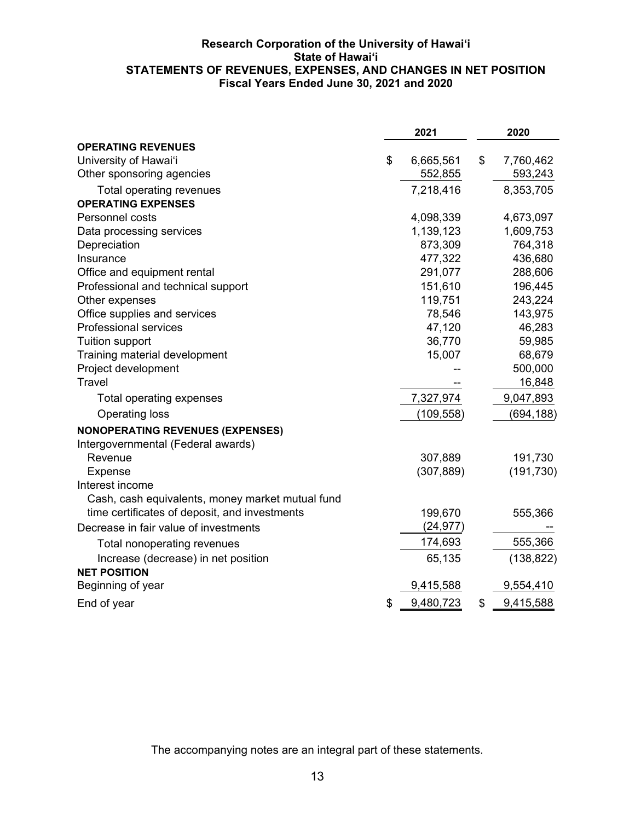### **Research Corporation of the University of Hawaiʻi State of Hawaiʻi STATEMENTS OF REVENUES, EXPENSES, AND CHANGES IN NET POSITION Fiscal Years Ended June 30, 2021 and 2020**

|                                                  | 2021            | 2020            |
|--------------------------------------------------|-----------------|-----------------|
| <b>OPERATING REVENUES</b>                        |                 |                 |
| University of Hawai'i                            | \$<br>6,665,561 | \$<br>7,760,462 |
| Other sponsoring agencies                        | 552,855         | 593,243         |
| Total operating revenues                         | 7,218,416       | 8,353,705       |
| <b>OPERATING EXPENSES</b>                        |                 |                 |
| Personnel costs                                  | 4,098,339       | 4,673,097       |
| Data processing services                         | 1,139,123       | 1,609,753       |
| Depreciation                                     | 873,309         | 764,318         |
| Insurance                                        | 477,322         | 436,680         |
| Office and equipment rental                      | 291,077         | 288,606         |
| Professional and technical support               | 151,610         | 196,445         |
| Other expenses                                   | 119,751         | 243,224         |
| Office supplies and services                     | 78,546          | 143,975         |
| <b>Professional services</b>                     | 47,120          | 46,283          |
| <b>Tuition support</b>                           | 36,770          | 59,985          |
| Training material development                    | 15,007          | 68,679          |
| Project development                              |                 | 500,000         |
| Travel                                           |                 | 16,848          |
| Total operating expenses                         | 7,327,974       | 9,047,893       |
| <b>Operating loss</b>                            | (109, 558)      | (694,188)       |
| <b>NONOPERATING REVENUES (EXPENSES)</b>          |                 |                 |
| Intergovernmental (Federal awards)               |                 |                 |
| Revenue                                          | 307,889         | 191,730         |
| <b>Expense</b>                                   | (307, 889)      | (191, 730)      |
| Interest income                                  |                 |                 |
| Cash, cash equivalents, money market mutual fund |                 |                 |
| time certificates of deposit, and investments    | 199,670         | 555,366         |
| Decrease in fair value of investments            | (24, 977)       |                 |
| Total nonoperating revenues                      | 174,693         | 555,366         |
| Increase (decrease) in net position              | 65,135          | (138, 822)      |
| <b>NET POSITION</b>                              |                 |                 |
| Beginning of year                                | 9,415,588       | 9,554,410       |
| End of year                                      | \$<br>9,480,723 | \$<br>9,415,588 |
|                                                  |                 |                 |

The accompanying notes are an integral part of these statements.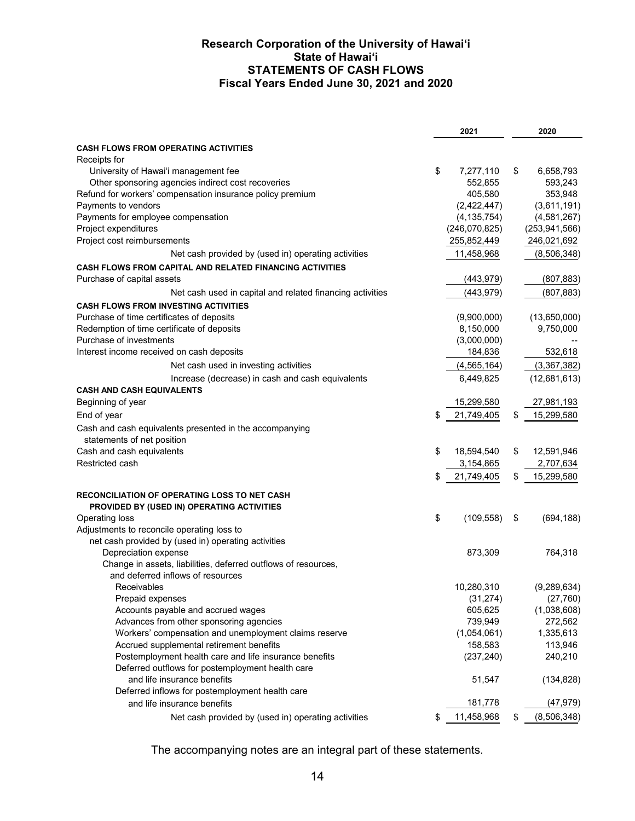#### **Research Corporation of the University of Hawaiʻi State of Hawaiʻi STATEMENTS OF CASH FLOWS Fiscal Years Ended June 30, 2021 and 2020**

|                                                                       | 2021             | 2020              |
|-----------------------------------------------------------------------|------------------|-------------------|
| <b>CASH FLOWS FROM OPERATING ACTIVITIES</b>                           |                  |                   |
| Receipts for                                                          |                  |                   |
| University of Hawai'i management fee                                  | \$<br>7,277,110  | \$<br>6,658,793   |
| Other sponsoring agencies indirect cost recoveries                    | 552,855          | 593,243           |
| Refund for workers' compensation insurance policy premium             | 405,580          | 353,948           |
| Payments to vendors                                                   | (2, 422, 447)    | (3,611,191)       |
| Payments for employee compensation                                    | (4, 135, 754)    | (4,581,267)       |
| Project expenditures                                                  | (246,070,825)    | (253, 941, 566)   |
| Project cost reimbursements                                           | 255,852,449      | 246,021,692       |
| Net cash provided by (used in) operating activities                   | 11,458,968       | (8,506,348)       |
| CASH FLOWS FROM CAPITAL AND RELATED FINANCING ACTIVITIES              |                  |                   |
| Purchase of capital assets                                            | (443, 979)       | (807, 883)        |
| Net cash used in capital and related financing activities             | (443, 979)       | (807, 883)        |
|                                                                       |                  |                   |
| <b>CASH FLOWS FROM INVESTING ACTIVITIES</b>                           |                  |                   |
| Purchase of time certificates of deposits                             | (9,900,000)      | (13,650,000)      |
| Redemption of time certificate of deposits<br>Purchase of investments | 8,150,000        | 9,750,000         |
|                                                                       | (3,000,000)      |                   |
| Interest income received on cash deposits                             | 184,836          | 532,618           |
| Net cash used in investing activities                                 | (4, 565, 164)    | (3,367,382)       |
| Increase (decrease) in cash and cash equivalents                      | 6,449,825        | (12,681,613)      |
| <b>CASH AND CASH EQUIVALENTS</b>                                      |                  |                   |
| Beginning of year                                                     | 15,299,580       | 27,981,193        |
| End of year                                                           | \$<br>21,749,405 | \$<br>15,299,580  |
| Cash and cash equivalents presented in the accompanying               |                  |                   |
| statements of net position                                            |                  |                   |
| Cash and cash equivalents                                             | \$<br>18,594,540 | \$<br>12,591,946  |
| Restricted cash                                                       | 3,154,865        | 2,707,634         |
|                                                                       | \$<br>21,749,405 | \$<br>15,299,580  |
|                                                                       |                  |                   |
| <b>RECONCILIATION OF OPERATING LOSS TO NET CASH</b>                   |                  |                   |
| PROVIDED BY (USED IN) OPERATING ACTIVITIES<br>Operating loss          | \$<br>(109, 558) | \$                |
| Adjustments to reconcile operating loss to                            |                  | (694, 188)        |
| net cash provided by (used in) operating activities                   |                  |                   |
| Depreciation expense                                                  | 873,309          | 764,318           |
| Change in assets, liabilities, deferred outflows of resources,        |                  |                   |
| and deferred inflows of resources                                     |                  |                   |
| Receivables                                                           | 10,280,310       | (9, 289, 634)     |
| Prepaid expenses                                                      | (31, 274)        | (27, 760)         |
| Accounts payable and accrued wages                                    | 605,625          | (1,038,608)       |
| Advances from other sponsoring agencies                               | 739,949          | 272,562           |
| Workers' compensation and unemployment claims reserve                 | (1,054,061)      | 1,335,613         |
| Accrued supplemental retirement benefits                              | 158,583          | 113,946           |
| Postemployment health care and life insurance benefits                | (237, 240)       | 240,210           |
| Deferred outflows for postemployment health care                      |                  |                   |
| and life insurance benefits                                           | 51,547           | (134, 828)        |
| Deferred inflows for postemployment health care                       |                  |                   |
| and life insurance benefits                                           | 181,778          | (47, 979)         |
| Net cash provided by (used in) operating activities                   | \$<br>11,458,968 | \$<br>(8,506,348) |
|                                                                       |                  |                   |

The accompanying notes are an integral part of these statements.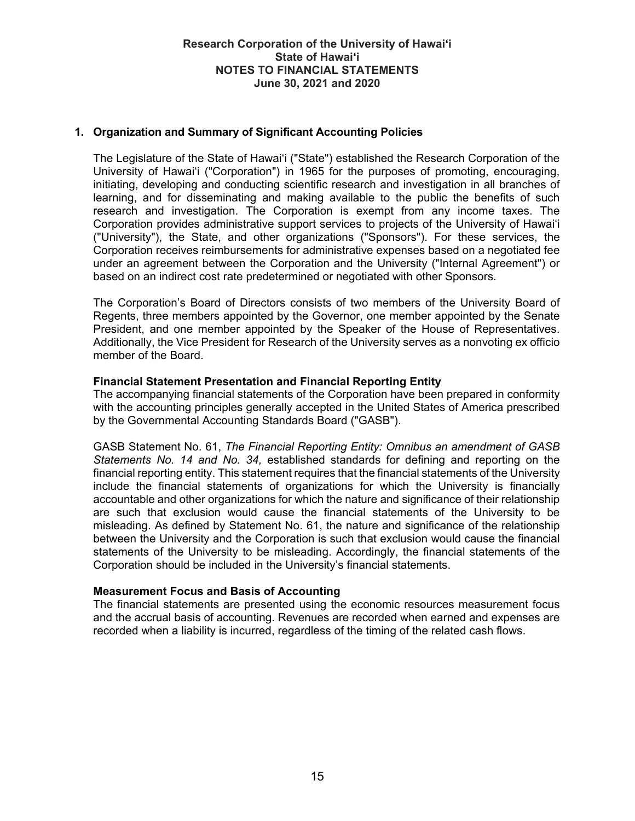### **1. Organization and Summary of Significant Accounting Policies**

The Legislature of the State of Hawaiʻi ("State") established the Research Corporation of the University of Hawaiʻi ("Corporation") in 1965 for the purposes of promoting, encouraging, initiating, developing and conducting scientific research and investigation in all branches of learning, and for disseminating and making available to the public the benefits of such research and investigation. The Corporation is exempt from any income taxes. The Corporation provides administrative support services to projects of the University of Hawaiʻi ("University"), the State, and other organizations ("Sponsors"). For these services, the Corporation receives reimbursements for administrative expenses based on a negotiated fee under an agreement between the Corporation and the University ("Internal Agreement") or based on an indirect cost rate predetermined or negotiated with other Sponsors.

The Corporation's Board of Directors consists of two members of the University Board of Regents, three members appointed by the Governor, one member appointed by the Senate President, and one member appointed by the Speaker of the House of Representatives. Additionally, the Vice President for Research of the University serves as a nonvoting ex officio member of the Board.

#### **Financial Statement Presentation and Financial Reporting Entity**

The accompanying financial statements of the Corporation have been prepared in conformity with the accounting principles generally accepted in the United States of America prescribed by the Governmental Accounting Standards Board ("GASB").

GASB Statement No. 61, *The Financial Reporting Entity: Omnibus an amendment of GASB Statements No. 14 and No. 34,* established standards for defining and reporting on the financial reporting entity. This statement requires that the financial statements of the University include the financial statements of organizations for which the University is financially accountable and other organizations for which the nature and significance of their relationship are such that exclusion would cause the financial statements of the University to be misleading. As defined by Statement No. 61, the nature and significance of the relationship between the University and the Corporation is such that exclusion would cause the financial statements of the University to be misleading. Accordingly, the financial statements of the Corporation should be included in the University's financial statements.

#### **Measurement Focus and Basis of Accounting**

The financial statements are presented using the economic resources measurement focus and the accrual basis of accounting. Revenues are recorded when earned and expenses are recorded when a liability is incurred, regardless of the timing of the related cash flows.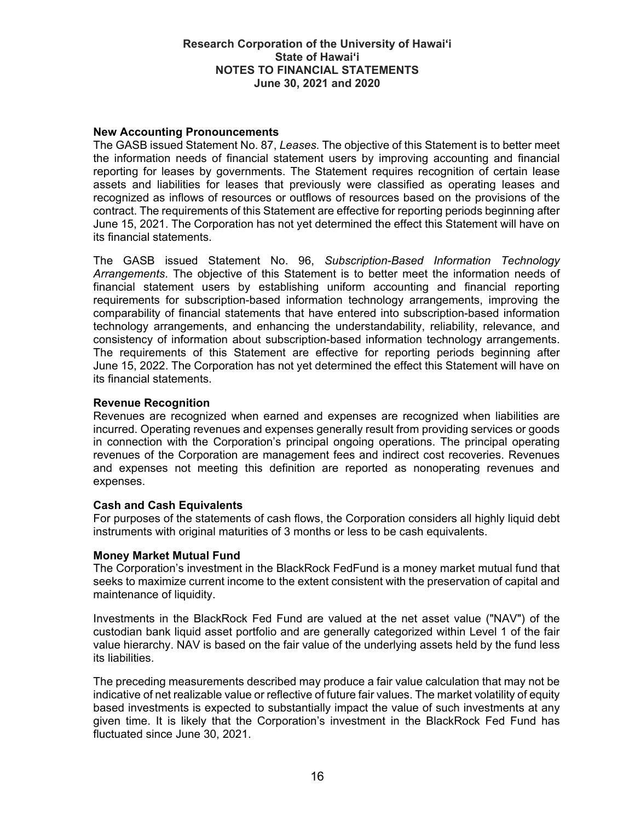#### **New Accounting Pronouncements**

The GASB issued Statement No. 87, *Leases*. The objective of this Statement is to better meet the information needs of financial statement users by improving accounting and financial reporting for leases by governments. The Statement requires recognition of certain lease assets and liabilities for leases that previously were classified as operating leases and recognized as inflows of resources or outflows of resources based on the provisions of the contract. The requirements of this Statement are effective for reporting periods beginning after June 15, 2021. The Corporation has not yet determined the effect this Statement will have on its financial statements.

The GASB issued Statement No. 96, *Subscription-Based Information Technology Arrangements*. The objective of this Statement is to better meet the information needs of financial statement users by establishing uniform accounting and financial reporting requirements for subscription-based information technology arrangements, improving the comparability of financial statements that have entered into subscription-based information technology arrangements, and enhancing the understandability, reliability, relevance, and consistency of information about subscription-based information technology arrangements. The requirements of this Statement are effective for reporting periods beginning after June 15, 2022. The Corporation has not yet determined the effect this Statement will have on its financial statements.

#### **Revenue Recognition**

Revenues are recognized when earned and expenses are recognized when liabilities are incurred. Operating revenues and expenses generally result from providing services or goods in connection with the Corporation's principal ongoing operations. The principal operating revenues of the Corporation are management fees and indirect cost recoveries. Revenues and expenses not meeting this definition are reported as nonoperating revenues and expenses.

### **Cash and Cash Equivalents**

For purposes of the statements of cash flows, the Corporation considers all highly liquid debt instruments with original maturities of 3 months or less to be cash equivalents.

#### **Money Market Mutual Fund**

The Corporation's investment in the BlackRock FedFund is a money market mutual fund that seeks to maximize current income to the extent consistent with the preservation of capital and maintenance of liquidity.

Investments in the BlackRock Fed Fund are valued at the net asset value ("NAV") of the custodian bank liquid asset portfolio and are generally categorized within Level 1 of the fair value hierarchy. NAV is based on the fair value of the underlying assets held by the fund less its liabilities.

The preceding measurements described may produce a fair value calculation that may not be indicative of net realizable value or reflective of future fair values. The market volatility of equity based investments is expected to substantially impact the value of such investments at any given time. It is likely that the Corporation's investment in the BlackRock Fed Fund has fluctuated since June 30, 2021.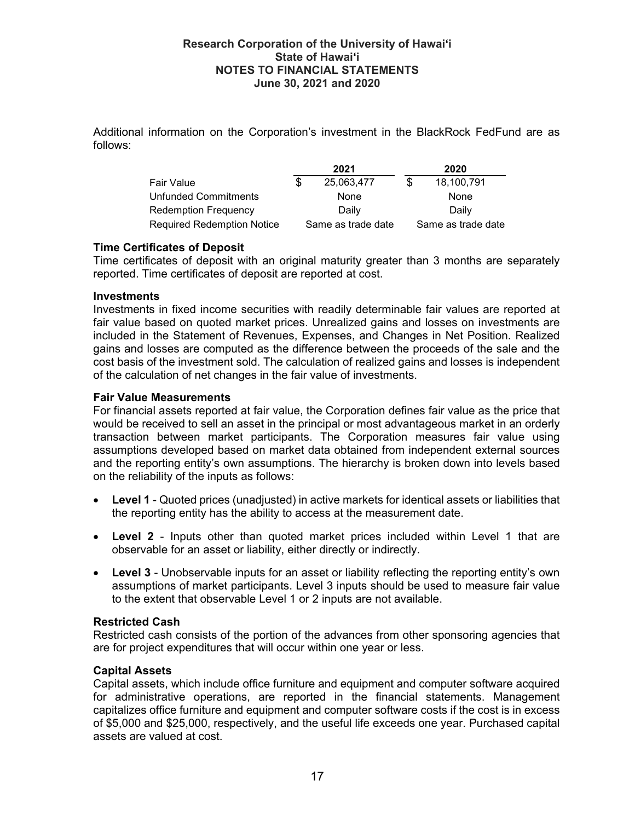Additional information on the Corporation's investment in the BlackRock FedFund are as follows:

|                                   | 2021               |   | 2020               |
|-----------------------------------|--------------------|---|--------------------|
| <b>Fair Value</b>                 | 25,063,477         | S | 18,100,791         |
| <b>Unfunded Commitments</b>       | None               |   | None               |
| <b>Redemption Frequency</b>       | Daily              |   | Daily              |
| <b>Required Redemption Notice</b> | Same as trade date |   | Same as trade date |

### **Time Certificates of Deposit**

Time certificates of deposit with an original maturity greater than 3 months are separately reported. Time certificates of deposit are reported at cost.

### **Investments**

Investments in fixed income securities with readily determinable fair values are reported at fair value based on quoted market prices. Unrealized gains and losses on investments are included in the Statement of Revenues, Expenses, and Changes in Net Position. Realized gains and losses are computed as the difference between the proceeds of the sale and the cost basis of the investment sold. The calculation of realized gains and losses is independent of the calculation of net changes in the fair value of investments.

### **Fair Value Measurements**

For financial assets reported at fair value, the Corporation defines fair value as the price that would be received to sell an asset in the principal or most advantageous market in an orderly transaction between market participants. The Corporation measures fair value using assumptions developed based on market data obtained from independent external sources and the reporting entity's own assumptions. The hierarchy is broken down into levels based on the reliability of the inputs as follows:

- **Level 1** Quoted prices (unadjusted) in active markets for identical assets or liabilities that the reporting entity has the ability to access at the measurement date.
- **Level 2**  Inputs other than quoted market prices included within Level 1 that are observable for an asset or liability, either directly or indirectly.
- **Level 3** Unobservable inputs for an asset or liability reflecting the reporting entity's own assumptions of market participants. Level 3 inputs should be used to measure fair value to the extent that observable Level 1 or 2 inputs are not available.

### **Restricted Cash**

Restricted cash consists of the portion of the advances from other sponsoring agencies that are for project expenditures that will occur within one year or less.

### **Capital Assets**

Capital assets, which include office furniture and equipment and computer software acquired for administrative operations, are reported in the financial statements. Management capitalizes office furniture and equipment and computer software costs if the cost is in excess of \$5,000 and \$25,000, respectively, and the useful life exceeds one year. Purchased capital assets are valued at cost.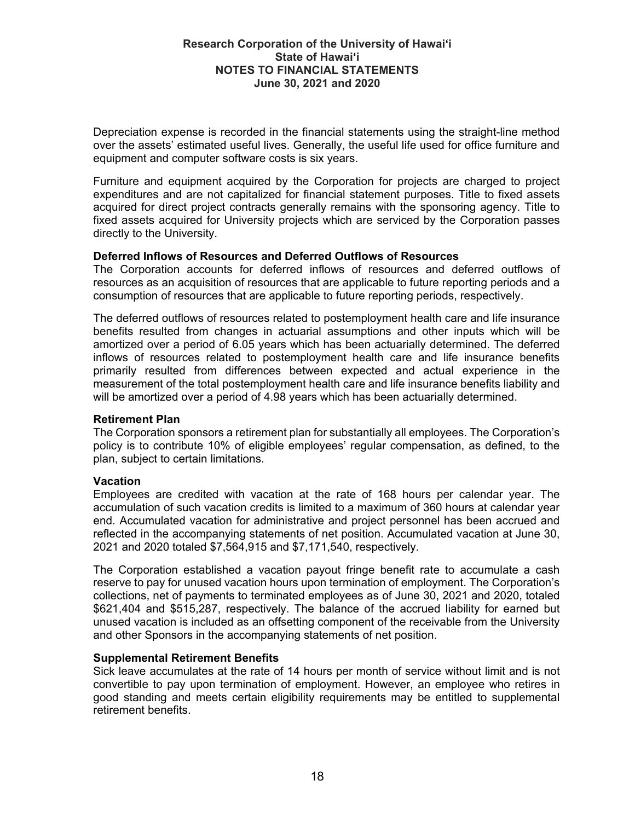Depreciation expense is recorded in the financial statements using the straight-line method over the assets' estimated useful lives. Generally, the useful life used for office furniture and equipment and computer software costs is six years.

Furniture and equipment acquired by the Corporation for projects are charged to project expenditures and are not capitalized for financial statement purposes. Title to fixed assets acquired for direct project contracts generally remains with the sponsoring agency. Title to fixed assets acquired for University projects which are serviced by the Corporation passes directly to the University.

### **Deferred Inflows of Resources and Deferred Outflows of Resources**

The Corporation accounts for deferred inflows of resources and deferred outflows of resources as an acquisition of resources that are applicable to future reporting periods and a consumption of resources that are applicable to future reporting periods, respectively.

The deferred outflows of resources related to postemployment health care and life insurance benefits resulted from changes in actuarial assumptions and other inputs which will be amortized over a period of 6.05 years which has been actuarially determined. The deferred inflows of resources related to postemployment health care and life insurance benefits primarily resulted from differences between expected and actual experience in the measurement of the total postemployment health care and life insurance benefits liability and will be amortized over a period of 4.98 years which has been actuarially determined.

### **Retirement Plan**

The Corporation sponsors a retirement plan for substantially all employees. The Corporation's policy is to contribute 10% of eligible employees' regular compensation, as defined, to the plan, subject to certain limitations.

### **Vacation**

Employees are credited with vacation at the rate of 168 hours per calendar year. The accumulation of such vacation credits is limited to a maximum of 360 hours at calendar year end. Accumulated vacation for administrative and project personnel has been accrued and reflected in the accompanying statements of net position. Accumulated vacation at June 30, 2021 and 2020 totaled \$7,564,915 and \$7,171,540, respectively.

The Corporation established a vacation payout fringe benefit rate to accumulate a cash reserve to pay for unused vacation hours upon termination of employment. The Corporation's collections, net of payments to terminated employees as of June 30, 2021 and 2020, totaled \$621,404 and \$515,287, respectively. The balance of the accrued liability for earned but unused vacation is included as an offsetting component of the receivable from the University and other Sponsors in the accompanying statements of net position.

### **Supplemental Retirement Benefits**

Sick leave accumulates at the rate of 14 hours per month of service without limit and is not convertible to pay upon termination of employment. However, an employee who retires in good standing and meets certain eligibility requirements may be entitled to supplemental retirement benefits.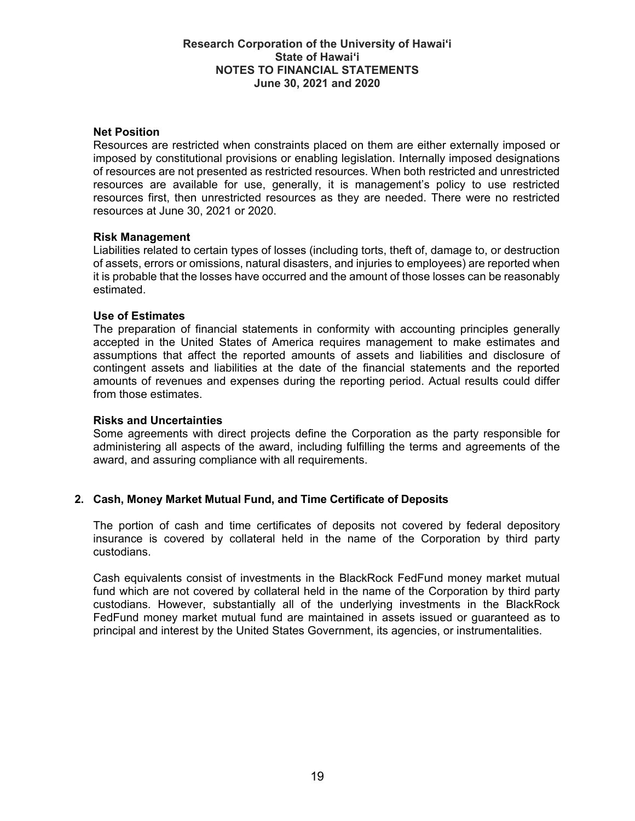#### **Net Position**

Resources are restricted when constraints placed on them are either externally imposed or imposed by constitutional provisions or enabling legislation. Internally imposed designations of resources are not presented as restricted resources. When both restricted and unrestricted resources are available for use, generally, it is management's policy to use restricted resources first, then unrestricted resources as they are needed. There were no restricted resources at June 30, 2021 or 2020.

#### **Risk Management**

Liabilities related to certain types of losses (including torts, theft of, damage to, or destruction of assets, errors or omissions, natural disasters, and injuries to employees) are reported when it is probable that the losses have occurred and the amount of those losses can be reasonably estimated.

#### **Use of Estimates**

The preparation of financial statements in conformity with accounting principles generally accepted in the United States of America requires management to make estimates and assumptions that affect the reported amounts of assets and liabilities and disclosure of contingent assets and liabilities at the date of the financial statements and the reported amounts of revenues and expenses during the reporting period. Actual results could differ from those estimates.

#### **Risks and Uncertainties**

Some agreements with direct projects define the Corporation as the party responsible for administering all aspects of the award, including fulfilling the terms and agreements of the award, and assuring compliance with all requirements.

### **2. Cash, Money Market Mutual Fund, and Time Certificate of Deposits**

The portion of cash and time certificates of deposits not covered by federal depository insurance is covered by collateral held in the name of the Corporation by third party custodians.

Cash equivalents consist of investments in the BlackRock FedFund money market mutual fund which are not covered by collateral held in the name of the Corporation by third party custodians. However, substantially all of the underlying investments in the BlackRock FedFund money market mutual fund are maintained in assets issued or guaranteed as to principal and interest by the United States Government, its agencies, or instrumentalities.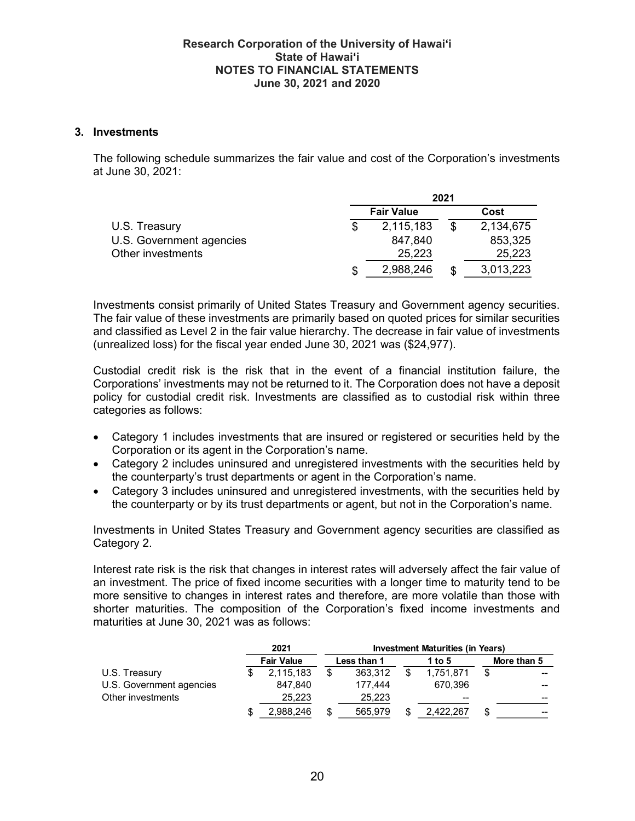#### **3. Investments**

The following schedule summarizes the fair value and cost of the Corporation's investments at June 30, 2021:

|                          |   | 2021              |    |           |  |  |  |
|--------------------------|---|-------------------|----|-----------|--|--|--|
|                          |   | <b>Fair Value</b> |    | Cost      |  |  |  |
| U.S. Treasury            |   | 2,115,183         | \$ | 2,134,675 |  |  |  |
| U.S. Government agencies |   | 847.840           |    | 853,325   |  |  |  |
| Other investments        |   | 25,223            |    | 25,223    |  |  |  |
|                          | S | 2,988,246         |    | 3,013,223 |  |  |  |

Investments consist primarily of United States Treasury and Government agency securities. The fair value of these investments are primarily based on quoted prices for similar securities and classified as Level 2 in the fair value hierarchy. The decrease in fair value of investments (unrealized loss) for the fiscal year ended June 30, 2021 was (\$24,977).

Custodial credit risk is the risk that in the event of a financial institution failure, the Corporations' investments may not be returned to it. The Corporation does not have a deposit policy for custodial credit risk. Investments are classified as to custodial risk within three categories as follows:

- Category 1 includes investments that are insured or registered or securities held by the Corporation or its agent in the Corporation's name.
- Category 2 includes uninsured and unregistered investments with the securities held by the counterparty's trust departments or agent in the Corporation's name.
- Category 3 includes uninsured and unregistered investments, with the securities held by the counterparty or by its trust departments or agent, but not in the Corporation's name.

Investments in United States Treasury and Government agency securities are classified as Category 2.

Interest rate risk is the risk that changes in interest rates will adversely affect the fair value of an investment. The price of fixed income securities with a longer time to maturity tend to be more sensitive to changes in interest rates and therefore, are more volatile than those with shorter maturities. The composition of the Corporation's fixed income investments and maturities at June 30, 2021 was as follows:

|                          | 2021              |   |             | <b>Investment Maturities (in Years)</b> |             |       |
|--------------------------|-------------------|---|-------------|-----------------------------------------|-------------|-------|
|                          | <b>Fair Value</b> |   | Less than 1 | 1 to 5                                  | More than 5 |       |
| U.S. Treasury            | 2.115.183         | S | 363.312     | 1.751.871                               | S           | --    |
| U.S. Government agencies | 847.840           |   | 177.444     | 670.396                                 |             | $- -$ |
| Other investments        | 25.223            |   | 25,223      | --                                      |             | --    |
|                          | 2,988,246         | S | 565.979     | 2.422.267                               | S           | --    |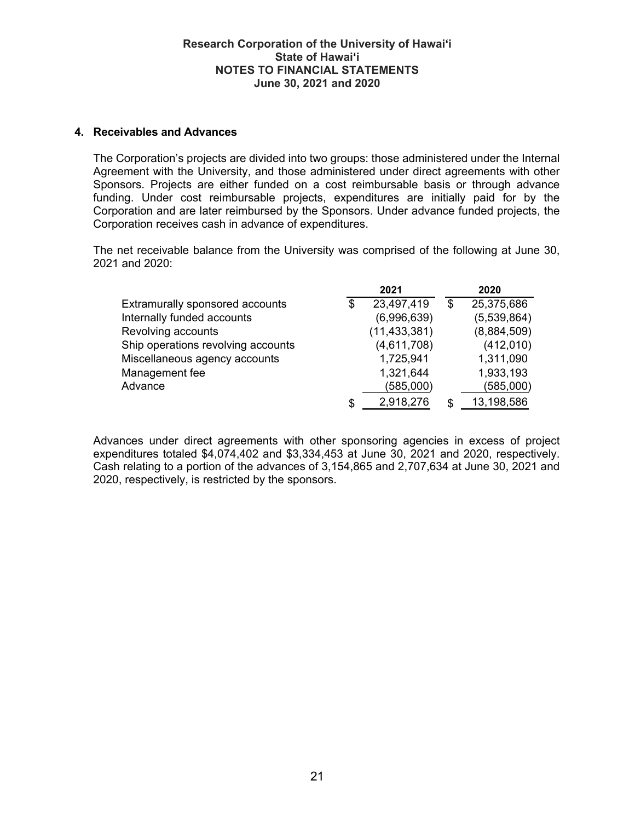#### **4. Receivables and Advances**

The Corporation's projects are divided into two groups: those administered under the Internal Agreement with the University, and those administered under direct agreements with other Sponsors. Projects are either funded on a cost reimbursable basis or through advance funding. Under cost reimbursable projects, expenditures are initially paid for by the Corporation and are later reimbursed by the Sponsors. Under advance funded projects, the Corporation receives cash in advance of expenditures.

The net receivable balance from the University was comprised of the following at June 30, 2021 and 2020:

|                                    | 2021             |    | 2020        |
|------------------------------------|------------------|----|-------------|
| Extramurally sponsored accounts    | \$<br>23,497,419 | \$ | 25,375,686  |
| Internally funded accounts         | (6,996,639)      |    | (5,539,864) |
| Revolving accounts                 | (11, 433, 381)   |    | (8,884,509) |
| Ship operations revolving accounts | (4,611,708)      |    | (412,010)   |
| Miscellaneous agency accounts      | 1,725,941        |    | 1,311,090   |
| Management fee                     | 1,321,644        |    | 1,933,193   |
| Advance                            | (585,000)        |    | (585,000)   |
|                                    | \$<br>2,918,276  | S  | 13,198,586  |

Advances under direct agreements with other sponsoring agencies in excess of project expenditures totaled \$4,074,402 and \$3,334,453 at June 30, 2021 and 2020, respectively. Cash relating to a portion of the advances of 3,154,865 and 2,707,634 at June 30, 2021 and 2020, respectively, is restricted by the sponsors.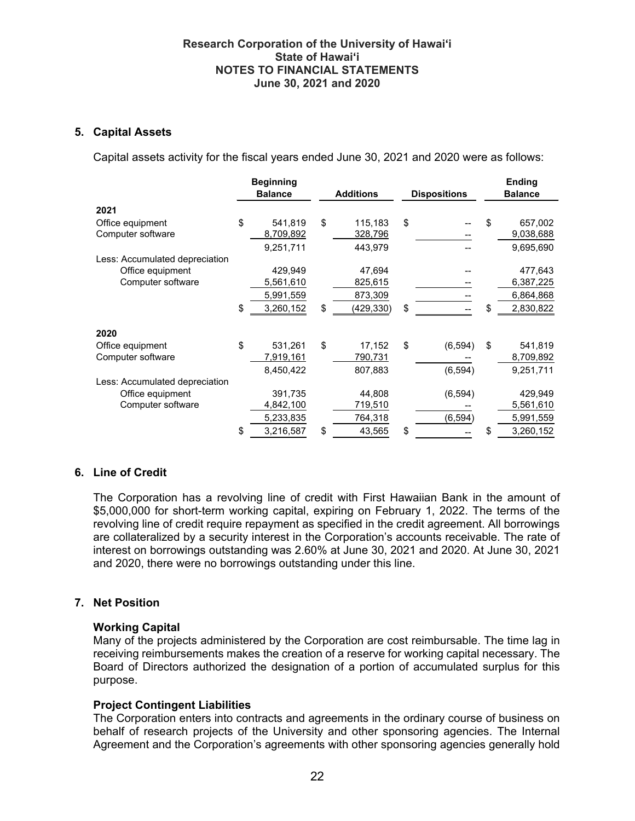### **5. Capital Assets**

Capital assets activity for the fiscal years ended June 30, 2021 and 2020 were as follows:

|                                | <b>Beginning</b><br><b>Balance</b> | <b>Additions</b> | <b>Dispositions</b> |    | <b>Ending</b><br><b>Balance</b> |
|--------------------------------|------------------------------------|------------------|---------------------|----|---------------------------------|
| 2021                           |                                    |                  |                     |    |                                 |
| Office equipment               | \$<br>541.819                      | \$<br>115,183    | \$                  | \$ | 657,002                         |
| Computer software              | 8,709,892                          | 328,796          |                     |    | 9,038,688                       |
|                                | 9,251,711                          | 443,979          |                     |    | 9,695,690                       |
| Less: Accumulated depreciation |                                    |                  |                     |    |                                 |
| Office equipment               | 429,949                            | 47,694           |                     |    | 477,643                         |
| Computer software              | 5,561,610                          | 825,615          |                     |    | 6,387,225                       |
|                                | 5,991,559                          | 873,309          |                     |    | 6,864,868                       |
|                                | \$<br>3,260,152                    | \$<br>(429,330)  | \$                  | \$ | 2,830,822                       |
| 2020                           |                                    |                  |                     |    |                                 |
| Office equipment               | \$<br>531,261                      | \$<br>17,152     | \$<br>(6, 594)      | \$ | 541,819                         |
| Computer software              | 7,919,161                          | 790,731          |                     |    | 8,709,892                       |
|                                | 8,450,422                          | 807,883          | (6, 594)            |    | 9,251,711                       |
| Less: Accumulated depreciation |                                    |                  |                     |    |                                 |
| Office equipment               | 391,735                            | 44,808           | (6, 594)            |    | 429,949                         |
| Computer software              | 4,842,100                          | 719,510          |                     |    | 5,561,610                       |
|                                | 5,233,835                          | 764,318          | (6, 594)            |    | 5,991,559                       |
|                                | \$<br>3,216,587                    | \$<br>43,565     | \$                  | S  | 3,260,152                       |

### **6. Line of Credit**

The Corporation has a revolving line of credit with First Hawaiian Bank in the amount of \$5,000,000 for short-term working capital, expiring on February 1, 2022. The terms of the revolving line of credit require repayment as specified in the credit agreement. All borrowings are collateralized by a security interest in the Corporation's accounts receivable. The rate of interest on borrowings outstanding was 2.60% at June 30, 2021 and 2020. At June 30, 2021 and 2020, there were no borrowings outstanding under this line.

### **7. Net Position**

### **Working Capital**

Many of the projects administered by the Corporation are cost reimbursable. The time lag in receiving reimbursements makes the creation of a reserve for working capital necessary. The Board of Directors authorized the designation of a portion of accumulated surplus for this purpose.

### **Project Contingent Liabilities**

The Corporation enters into contracts and agreements in the ordinary course of business on behalf of research projects of the University and other sponsoring agencies. The Internal Agreement and the Corporation's agreements with other sponsoring agencies generally hold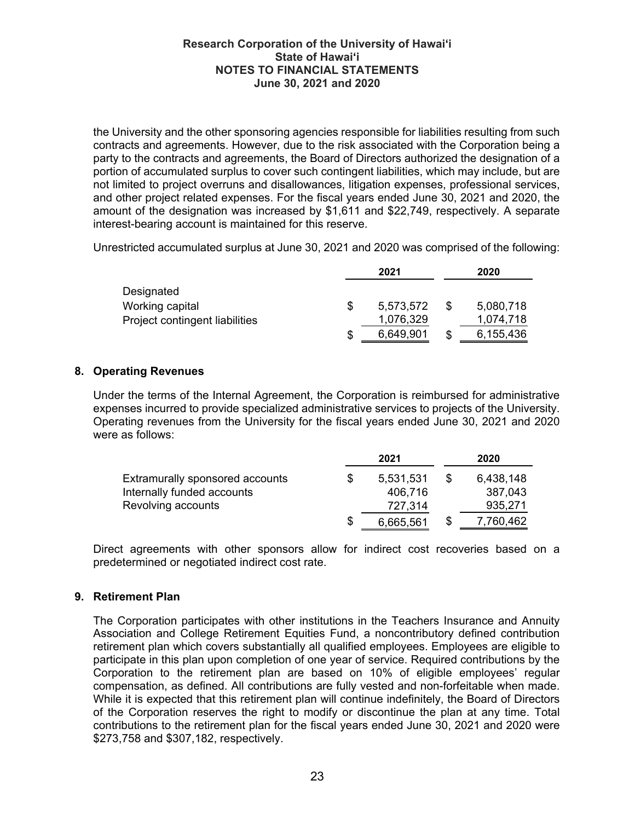the University and the other sponsoring agencies responsible for liabilities resulting from such contracts and agreements. However, due to the risk associated with the Corporation being a party to the contracts and agreements, the Board of Directors authorized the designation of a portion of accumulated surplus to cover such contingent liabilities, which may include, but are not limited to project overruns and disallowances, litigation expenses, professional services, and other project related expenses. For the fiscal years ended June 30, 2021 and 2020, the amount of the designation was increased by \$1,611 and \$22,749, respectively. A separate interest-bearing account is maintained for this reserve.

Unrestricted accumulated surplus at June 30, 2021 and 2020 was comprised of the following:

|                                | 2021      | 2020      |  |
|--------------------------------|-----------|-----------|--|
| Designated                     |           |           |  |
| Working capital                | 5,573,572 | 5,080,718 |  |
| Project contingent liabilities | 1,076,329 | 1,074,718 |  |
|                                | 6,649,901 | 6,155,436 |  |

### **8. Operating Revenues**

Under the terms of the Internal Agreement, the Corporation is reimbursed for administrative expenses incurred to provide specialized administrative services to projects of the University. Operating revenues from the University for the fiscal years ended June 30, 2021 and 2020 were as follows:

|                                 |   | 2021      |   | 2020      |
|---------------------------------|---|-----------|---|-----------|
| Extramurally sponsored accounts | S | 5,531,531 | S | 6,438,148 |
| Internally funded accounts      |   | 406,716   |   | 387,043   |
| Revolving accounts              |   | 727,314   |   | 935,271   |
|                                 |   | 6,665,561 |   | 7,760,462 |

Direct agreements with other sponsors allow for indirect cost recoveries based on a predetermined or negotiated indirect cost rate.

### **9. Retirement Plan**

The Corporation participates with other institutions in the Teachers Insurance and Annuity Association and College Retirement Equities Fund, a noncontributory defined contribution retirement plan which covers substantially all qualified employees. Employees are eligible to participate in this plan upon completion of one year of service. Required contributions by the Corporation to the retirement plan are based on 10% of eligible employees' regular compensation, as defined. All contributions are fully vested and non-forfeitable when made. While it is expected that this retirement plan will continue indefinitely, the Board of Directors of the Corporation reserves the right to modify or discontinue the plan at any time. Total contributions to the retirement plan for the fiscal years ended June 30, 2021 and 2020 were \$273,758 and \$307,182, respectively.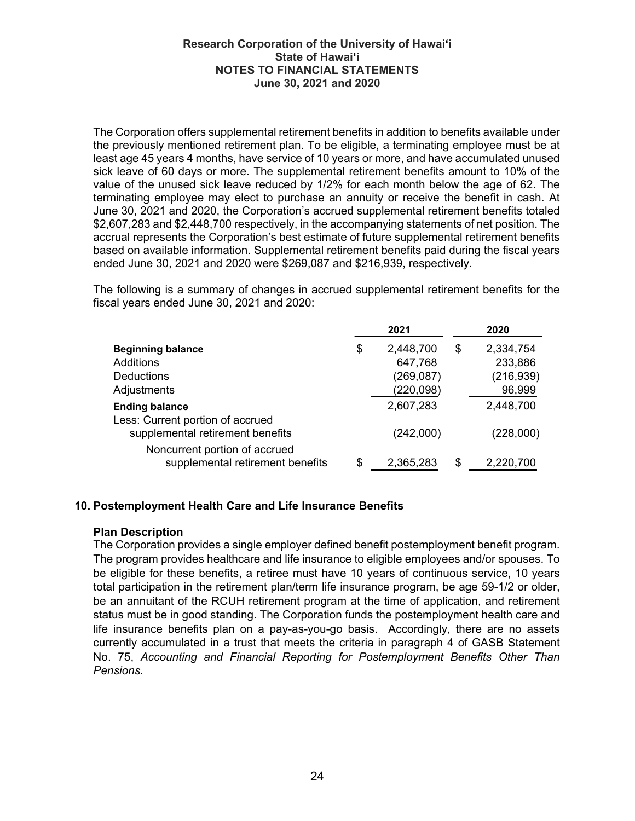The Corporation offers supplemental retirement benefits in addition to benefits available under the previously mentioned retirement plan. To be eligible, a terminating employee must be at least age 45 years 4 months, have service of 10 years or more, and have accumulated unused sick leave of 60 days or more. The supplemental retirement benefits amount to 10% of the value of the unused sick leave reduced by 1/2% for each month below the age of 62. The terminating employee may elect to purchase an annuity or receive the benefit in cash. At June 30, 2021 and 2020, the Corporation's accrued supplemental retirement benefits totaled \$2,607,283 and \$2,448,700 respectively, in the accompanying statements of net position. The accrual represents the Corporation's best estimate of future supplemental retirement benefits based on available information. Supplemental retirement benefits paid during the fiscal years ended June 30, 2021 and 2020 were \$269,087 and \$216,939, respectively.

The following is a summary of changes in accrued supplemental retirement benefits for the fiscal years ended June 30, 2021 and 2020:

|                                                                      | 2021            | 2020            |
|----------------------------------------------------------------------|-----------------|-----------------|
| <b>Beginning balance</b>                                             | \$<br>2,448,700 | \$<br>2,334,754 |
| Additions                                                            | 647,768         | 233,886         |
| <b>Deductions</b>                                                    | (269, 087)      | (216, 939)      |
| Adjustments                                                          | (220, 098)      | 96,999          |
| <b>Ending balance</b>                                                | 2,607,283       | 2,448,700       |
| Less: Current portion of accrued<br>supplemental retirement benefits | (242,000)       | (228,000)       |
| Noncurrent portion of accrued<br>supplemental retirement benefits    | \$<br>2,365,283 | \$<br>2,220,700 |

### **10. Postemployment Health Care and Life Insurance Benefits**

#### **Plan Description**

The Corporation provides a single employer defined benefit postemployment benefit program. The program provides healthcare and life insurance to eligible employees and/or spouses. To be eligible for these benefits, a retiree must have 10 years of continuous service, 10 years total participation in the retirement plan/term life insurance program, be age 59-1/2 or older, be an annuitant of the RCUH retirement program at the time of application, and retirement status must be in good standing. The Corporation funds the postemployment health care and life insurance benefits plan on a pay-as-you-go basis. Accordingly, there are no assets currently accumulated in a trust that meets the criteria in paragraph 4 of GASB Statement No. 75, *Accounting and Financial Reporting for Postemployment Benefits Other Than Pensions*.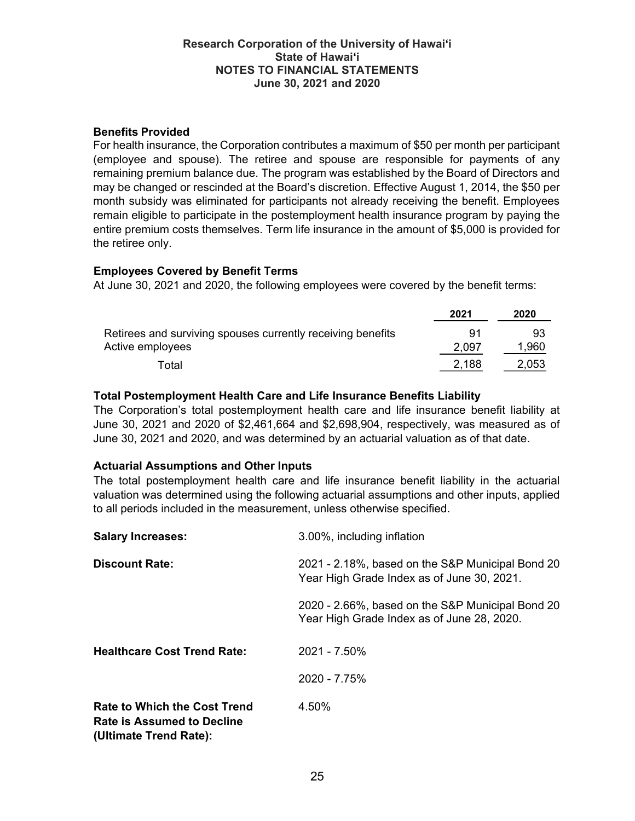### **Benefits Provided**

For health insurance, the Corporation contributes a maximum of \$50 per month per participant (employee and spouse). The retiree and spouse are responsible for payments of any remaining premium balance due. The program was established by the Board of Directors and may be changed or rescinded at the Board's discretion. Effective August 1, 2014, the \$50 per month subsidy was eliminated for participants not already receiving the benefit. Employees remain eligible to participate in the postemployment health insurance program by paying the entire premium costs themselves. Term life insurance in the amount of \$5,000 is provided for the retiree only.

### **Employees Covered by Benefit Terms**

At June 30, 2021 and 2020, the following employees were covered by the benefit terms:

|                                                             | 2021  | 2020  |
|-------------------------------------------------------------|-------|-------|
| Retirees and surviving spouses currently receiving benefits | 91    | -93   |
| Active employees                                            | 2.097 | 1,960 |
| Total                                                       | 2,188 | 2,053 |

### **Total Postemployment Health Care and Life Insurance Benefits Liability**

The Corporation's total postemployment health care and life insurance benefit liability at June 30, 2021 and 2020 of \$2,461,664 and \$2,698,904, respectively, was measured as of June 30, 2021 and 2020, and was determined by an actuarial valuation as of that date.

#### **Actuarial Assumptions and Other Inputs**

The total postemployment health care and life insurance benefit liability in the actuarial valuation was determined using the following actuarial assumptions and other inputs, applied to all periods included in the measurement, unless otherwise specified.

| <b>Salary Increases:</b>                                                                    | 3.00%, including inflation                                                                     |
|---------------------------------------------------------------------------------------------|------------------------------------------------------------------------------------------------|
| <b>Discount Rate:</b>                                                                       | 2021 - 2.18%, based on the S&P Municipal Bond 20<br>Year High Grade Index as of June 30, 2021. |
|                                                                                             | 2020 - 2.66%, based on the S&P Municipal Bond 20<br>Year High Grade Index as of June 28, 2020. |
| <b>Healthcare Cost Trend Rate:</b>                                                          | $2021 - 7.50\%$                                                                                |
|                                                                                             | $2020 - 7.75%$                                                                                 |
| <b>Rate to Which the Cost Trend</b><br>Rate is Assumed to Decline<br>(Ultimate Trend Rate): | 4.50%                                                                                          |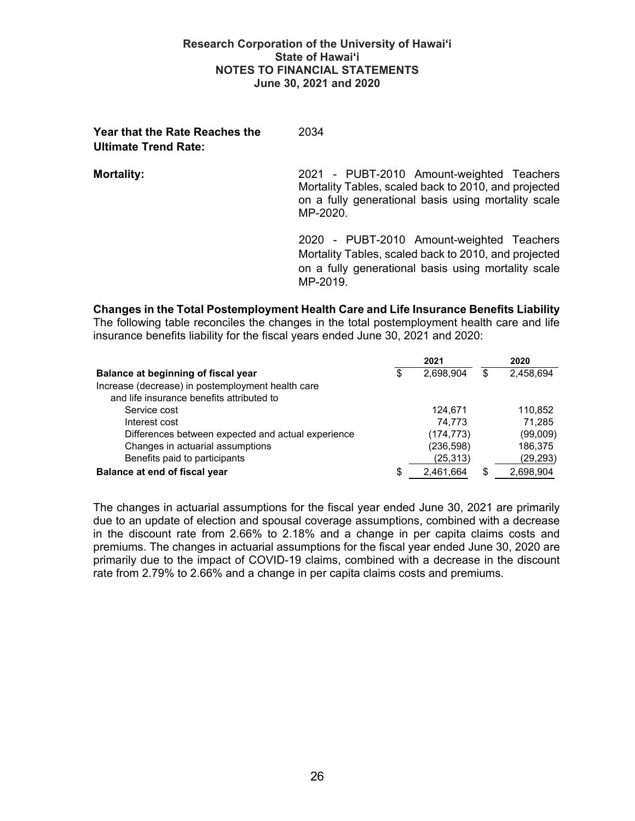### **Year that the Rate Reaches the** 2034 **Ultimate Trend Rate:**

**Mortality:** 2021 - PUBT-2010 Amount-weighted Teachers Mortality Tables, scaled back to 2010, and projected on a fully generational basis using mortality scale MP-2020.

> 2020 - PUBT-2010 Amount-weighted Teachers Mortality Tables, scaled back to 2010, and projected on a fully generational basis using mortality scale MP-2019.

**Changes in the Total Postemployment Health Care and Life Insurance Benefits Liability** The following table reconciles the changes in the total postemployment health care and life insurance benefits liability for the fiscal years ended June 30, 2021 and 2020:

|                                                    | 2021       | 2020            |
|----------------------------------------------------|------------|-----------------|
| Balance at beginning of fiscal year                | 2,698,904  | \$<br>2,458,694 |
| Increase (decrease) in postemployment health care  |            |                 |
| and life insurance benefits attributed to          |            |                 |
| Service cost                                       | 124,671    | 110,852         |
| Interest cost                                      | 74.773     | 71.285          |
| Differences between expected and actual experience | (174, 773) | (99,009)        |
| Changes in actuarial assumptions                   | (236, 598) | 186,375         |
| Benefits paid to participants                      | (25, 313)  | (29, 293)       |
| Balance at end of fiscal year                      | 2,461,664  | 2,698,904       |

The changes in actuarial assumptions for the fiscal year ended June 30, 2021 are primarily due to an update of election and spousal coverage assumptions, combined with a decrease in the discount rate from 2.66% to 2.18% and a change in per capita claims costs and premiums. The changes in actuarial assumptions for the fiscal year ended June 30, 2020 are primarily due to the impact of COVID-19 claims, combined with a decrease in the discount rate from 2.79% to 2.66% and a change in per capita claims costs and premiums.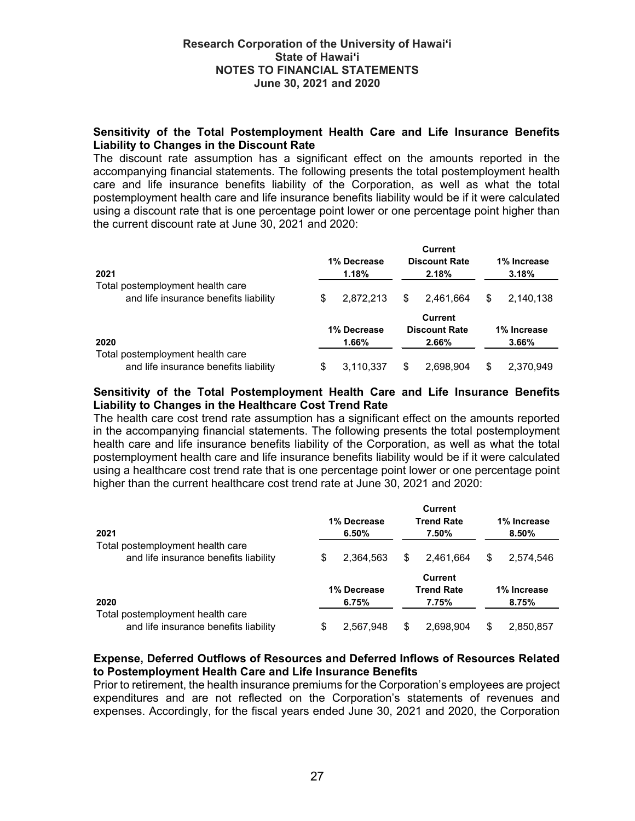#### **Sensitivity of the Total Postemployment Health Care and Life Insurance Benefits Liability to Changes in the Discount Rate**

The discount rate assumption has a significant effect on the amounts reported in the accompanying financial statements. The following presents the total postemployment health care and life insurance benefits liability of the Corporation, as well as what the total postemployment health care and life insurance benefits liability would be if it were calculated using a discount rate that is one percentage point lower or one percentage point higher than the current discount rate at June 30, 2021 and 2020:

|                                                                           |   |                      | <b>Current</b>                                  |                      |
|---------------------------------------------------------------------------|---|----------------------|-------------------------------------------------|----------------------|
| 2021                                                                      |   | 1% Decrease<br>1.18% | <b>Discount Rate</b><br>2.18%                   | 1% Increase<br>3.18% |
| Total postemployment health care<br>and life insurance benefits liability | S | 2,872,213            | \$<br>2.461.664                                 | \$<br>2,140,138      |
| 2020                                                                      |   | 1% Decrease<br>1.66% | <b>Current</b><br><b>Discount Rate</b><br>2.66% | 1% Increase<br>3.66% |
| Total postemployment health care                                          |   |                      |                                                 |                      |
| and life insurance benefits liability                                     | S | 3,110,337            | \$<br>2,698,904                                 | 2,370,949            |

### **Sensitivity of the Total Postemployment Health Care and Life Insurance Benefits Liability to Changes in the Healthcare Cost Trend Rate**

The health care cost trend rate assumption has a significant effect on the amounts reported in the accompanying financial statements. The following presents the total postemployment health care and life insurance benefits liability of the Corporation, as well as what the total postemployment health care and life insurance benefits liability would be if it were calculated using a healthcare cost trend rate that is one percentage point lower or one percentage point higher than the current healthcare cost trend rate at June 30, 2021 and 2020:

|                 |                            | <b>Current</b> |                                        |             |
|-----------------|----------------------------|----------------|----------------------------------------|-------------|
|                 |                            |                |                                        | 1% Increase |
| 6.50%           |                            | 7.50%          |                                        | $8.50\%$    |
|                 |                            |                |                                        |             |
| \$<br>2.364.563 | \$                         | 2,461,664      | \$                                     | 2,574,546   |
|                 |                            | <b>Current</b> |                                        |             |
|                 |                            |                |                                        | 1% Increase |
| 6.75%           |                            | 7.75%          |                                        | 8.75%       |
| \$<br>2,567,948 | \$                         | 2.698.904      | S                                      | 2,850,857   |
|                 | 1% Decrease<br>1% Decrease |                | <b>Trend Rate</b><br><b>Trend Rate</b> |             |

#### **Expense, Deferred Outflows of Resources and Deferred Inflows of Resources Related to Postemployment Health Care and Life Insurance Benefits**

Prior to retirement, the health insurance premiums for the Corporation's employees are project expenditures and are not reflected on the Corporation's statements of revenues and expenses. Accordingly, for the fiscal years ended June 30, 2021 and 2020, the Corporation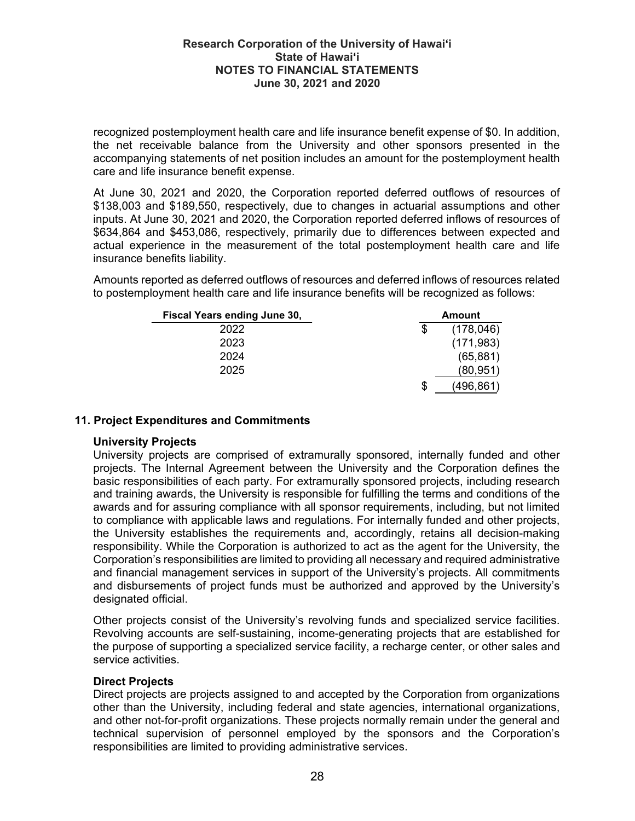recognized postemployment health care and life insurance benefit expense of \$0. In addition, the net receivable balance from the University and other sponsors presented in the accompanying statements of net position includes an amount for the postemployment health care and life insurance benefit expense.

At June 30, 2021 and 2020, the Corporation reported deferred outflows of resources of \$138,003 and \$189,550, respectively, due to changes in actuarial assumptions and other inputs. At June 30, 2021 and 2020, the Corporation reported deferred inflows of resources of \$634,864 and \$453,086, respectively, primarily due to differences between expected and actual experience in the measurement of the total postemployment health care and life insurance benefits liability.

Amounts reported as deferred outflows of resources and deferred inflows of resources related to postemployment health care and life insurance benefits will be recognized as follows:

| Fiscal Years ending June 30, | Amount          |  |  |
|------------------------------|-----------------|--|--|
| 2022                         | \$<br>(178,046) |  |  |
| 2023                         | (171, 983)      |  |  |
| 2024                         | (65, 881)       |  |  |
| 2025                         | (80, 951)       |  |  |
|                              | \$<br>(496,861) |  |  |

### **11. Project Expenditures and Commitments**

#### **University Projects**

University projects are comprised of extramurally sponsored, internally funded and other projects. The Internal Agreement between the University and the Corporation defines the basic responsibilities of each party. For extramurally sponsored projects, including research and training awards, the University is responsible for fulfilling the terms and conditions of the awards and for assuring compliance with all sponsor requirements, including, but not limited to compliance with applicable laws and regulations. For internally funded and other projects, the University establishes the requirements and, accordingly, retains all decision-making responsibility. While the Corporation is authorized to act as the agent for the University, the Corporation's responsibilities are limited to providing all necessary and required administrative and financial management services in support of the University's projects. All commitments and disbursements of project funds must be authorized and approved by the University's designated official.

Other projects consist of the University's revolving funds and specialized service facilities. Revolving accounts are self-sustaining, income-generating projects that are established for the purpose of supporting a specialized service facility, a recharge center, or other sales and service activities.

#### **Direct Projects**

Direct projects are projects assigned to and accepted by the Corporation from organizations other than the University, including federal and state agencies, international organizations, and other not-for-profit organizations. These projects normally remain under the general and technical supervision of personnel employed by the sponsors and the Corporation's responsibilities are limited to providing administrative services.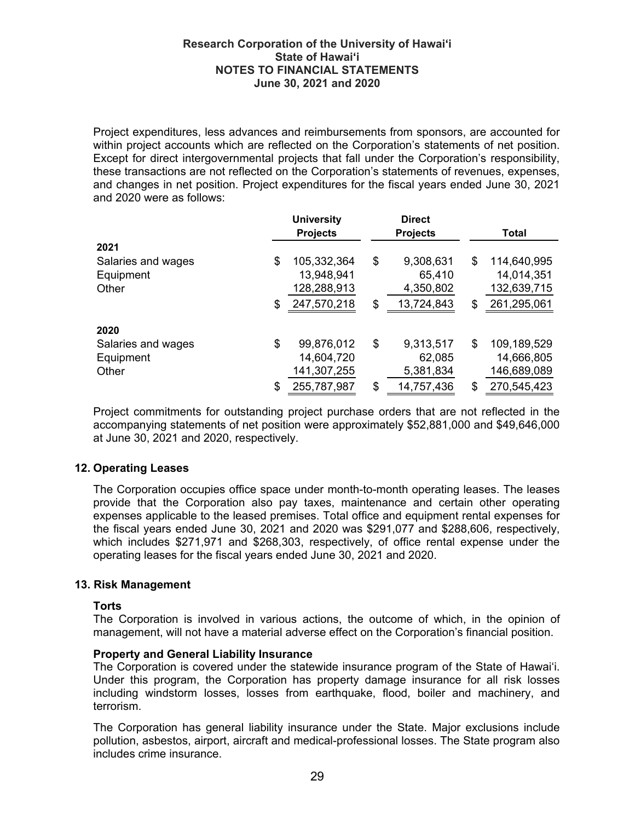Project expenditures, less advances and reimbursements from sponsors, are accounted for within project accounts which are reflected on the Corporation's statements of net position. Except for direct intergovernmental projects that fall under the Corporation's responsibility, these transactions are not reflected on the Corporation's statements of revenues, expenses, and changes in net position. Project expenditures for the fiscal years ended June 30, 2021 and 2020 were as follows:

|                    | <b>University</b> | <b>Direct</b>    |    |             |
|--------------------|-------------------|------------------|----|-------------|
|                    | <b>Projects</b>   | <b>Projects</b>  |    | Total       |
| 2021               |                   |                  |    |             |
| Salaries and wages | \$<br>105,332,364 | \$<br>9,308,631  | \$ | 114,640,995 |
| Equipment          | 13,948,941        | 65,410           |    | 14,014,351  |
| Other              | 128,288,913       | 4,350,802        |    | 132,639,715 |
|                    | \$<br>247,570,218 | \$<br>13,724,843 | \$ | 261,295,061 |
| 2020               |                   |                  |    |             |
| Salaries and wages | \$<br>99,876,012  | \$<br>9,313,517  | \$ | 109,189,529 |
| Equipment          | 14,604,720        | 62,085           |    | 14,666,805  |
| Other              | 141,307,255       | 5,381,834        |    | 146,689,089 |
|                    | \$<br>255,787,987 | \$<br>14,757,436 | S  | 270,545,423 |

Project commitments for outstanding project purchase orders that are not reflected in the accompanying statements of net position were approximately \$52,881,000 and \$49,646,000 at June 30, 2021 and 2020, respectively.

## **12. Operating Leases**

The Corporation occupies office space under month-to-month operating leases. The leases provide that the Corporation also pay taxes, maintenance and certain other operating expenses applicable to the leased premises. Total office and equipment rental expenses for the fiscal years ended June 30, 2021 and 2020 was \$291,077 and \$288,606, respectively, which includes \$271,971 and \$268,303, respectively, of office rental expense under the operating leases for the fiscal years ended June 30, 2021 and 2020.

### **13. Risk Management**

### **Torts**

The Corporation is involved in various actions, the outcome of which, in the opinion of management, will not have a material adverse effect on the Corporation's financial position.

### **Property and General Liability Insurance**

The Corporation is covered under the statewide insurance program of the State of Hawaiʻi. Under this program, the Corporation has property damage insurance for all risk losses including windstorm losses, losses from earthquake, flood, boiler and machinery, and terrorism.

The Corporation has general liability insurance under the State. Major exclusions include pollution, asbestos, airport, aircraft and medical-professional losses. The State program also includes crime insurance.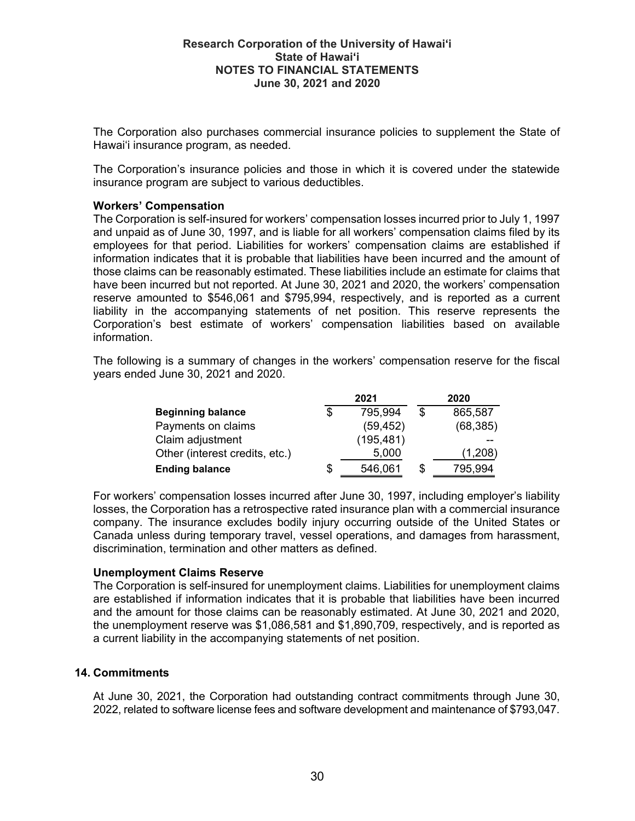The Corporation also purchases commercial insurance policies to supplement the State of Hawaiʻi insurance program, as needed.

The Corporation's insurance policies and those in which it is covered under the statewide insurance program are subject to various deductibles.

#### **Workers' Compensation**

The Corporation is self-insured for workers' compensation losses incurred prior to July 1, 1997 and unpaid as of June 30, 1997, and is liable for all workers' compensation claims filed by its employees for that period. Liabilities for workers' compensation claims are established if information indicates that it is probable that liabilities have been incurred and the amount of those claims can be reasonably estimated. These liabilities include an estimate for claims that have been incurred but not reported. At June 30, 2021 and 2020, the workers' compensation reserve amounted to \$546,061 and \$795,994, respectively, and is reported as a current liability in the accompanying statements of net position. This reserve represents the Corporation's best estimate of workers' compensation liabilities based on available information.

The following is a summary of changes in the workers' compensation reserve for the fiscal years ended June 30, 2021 and 2020.

|                                | 2021          | 2020 |           |  |
|--------------------------------|---------------|------|-----------|--|
| <b>Beginning balance</b>       | \$<br>795.994 |      | 865,587   |  |
| Payments on claims             | (59, 452)     |      | (68, 385) |  |
| Claim adjustment               | (195, 481)    |      |           |  |
| Other (interest credits, etc.) | 5,000         |      | (1,208)   |  |
| <b>Ending balance</b>          | \$<br>546,061 | S    | 795.994   |  |

For workers' compensation losses incurred after June 30, 1997, including employer's liability losses, the Corporation has a retrospective rated insurance plan with a commercial insurance company. The insurance excludes bodily injury occurring outside of the United States or Canada unless during temporary travel, vessel operations, and damages from harassment, discrimination, termination and other matters as defined.

#### **Unemployment Claims Reserve**

The Corporation is self-insured for unemployment claims. Liabilities for unemployment claims are established if information indicates that it is probable that liabilities have been incurred and the amount for those claims can be reasonably estimated. At June 30, 2021 and 2020, the unemployment reserve was \$1,086,581 and \$1,890,709, respectively, and is reported as a current liability in the accompanying statements of net position.

### **14. Commitments**

At June 30, 2021, the Corporation had outstanding contract commitments through June 30, 2022, related to software license fees and software development and maintenance of \$793,047.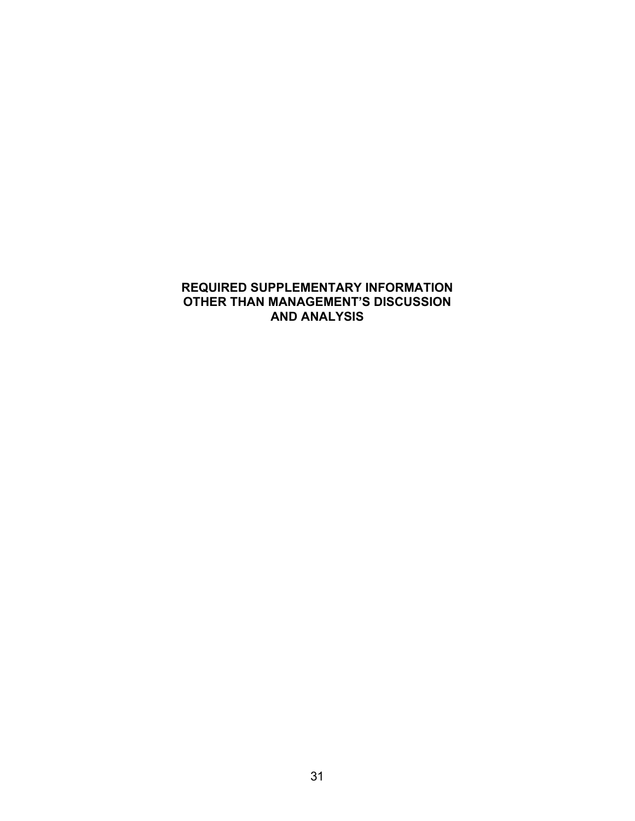## **REQUIRED SUPPLEMENTARY INFORMATION OTHER THAN MANAGEMENT'S DISCUSSION AND ANALYSIS**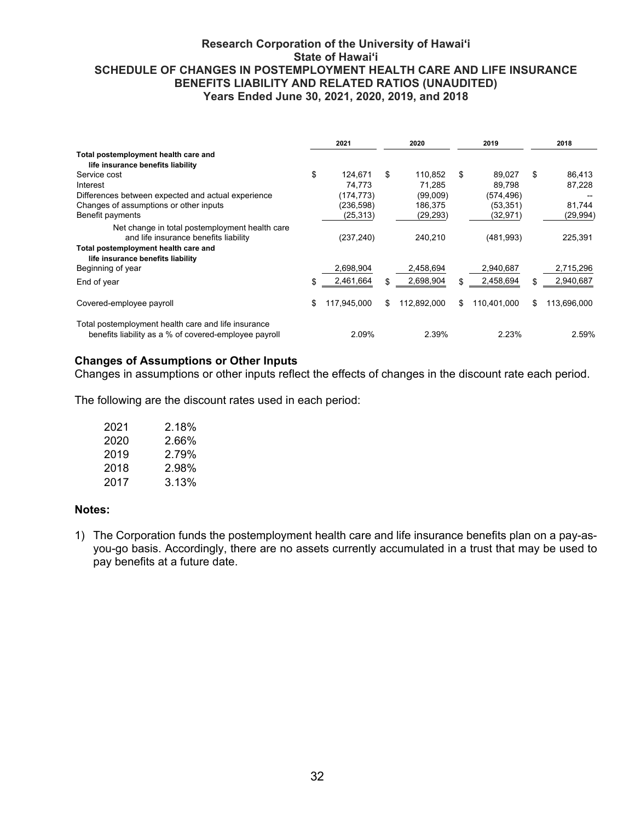### **Research Corporation of the University of Hawaiʻi State of Hawaiʻi SCHEDULE OF CHANGES IN POSTEMPLOYMENT HEALTH CARE AND LIFE INSURANCE BENEFITS LIABILITY AND RELATED RATIOS (UNAUDITED) Years Ended June 30, 2021, 2020, 2019, and 2018**

|                                                                                                                                 | 2021              |    | 2020        |     | 2019        |    | 2018        |
|---------------------------------------------------------------------------------------------------------------------------------|-------------------|----|-------------|-----|-------------|----|-------------|
| Total postemployment health care and<br>life insurance benefits liability                                                       |                   |    |             |     |             |    |             |
| Service cost                                                                                                                    | \$<br>124.671     | \$ | 110.852     | \$  | 89.027      | \$ | 86,413      |
| Interest                                                                                                                        | 74,773            |    | 71.285      |     | 89,798      |    | 87,228      |
| Differences between expected and actual experience                                                                              | (174, 773)        |    | (99,009)    |     | (574,496)   |    |             |
| Changes of assumptions or other inputs                                                                                          | (236, 598)        |    | 186,375     |     | (53, 351)   |    | 81,744      |
| Benefit payments                                                                                                                | (25, 313)         |    | (29,293)    |     | (32,971)    |    | (29, 994)   |
| Net change in total postemployment health care<br>and life insurance benefits liability<br>Total postemployment health care and | (237, 240)        |    | 240,210     |     | (481,993)   |    | 225,391     |
| life insurance benefits liability                                                                                               |                   |    |             |     |             |    |             |
| Beginning of year                                                                                                               | 2,698,904         |    | 2.458.694   |     | 2,940,687   |    | 2,715,296   |
| End of year                                                                                                                     | \$<br>2,461,664   |    | 2,698,904   |     | 2,458,694   | \$ | 2,940,687   |
| Covered-employee payroll                                                                                                        | \$<br>117,945,000 | S. | 112,892,000 | \$. | 110,401,000 | S. | 113,696,000 |
| Total postemployment health care and life insurance<br>benefits liability as a % of covered-employee payroll                    | 2.09%             |    | 2.39%       |     | 2.23%       |    | 2.59%       |

#### **Changes of Assumptions or Other Inputs**

Changes in assumptions or other inputs reflect the effects of changes in the discount rate each period.

The following are the discount rates used in each period:

| 2021 | 2.18% |
|------|-------|
| 2020 | 2.66% |
| 2019 | 2.79% |
| 2018 | 2.98% |
| 2017 | 3.13% |

#### **Notes:**

1) The Corporation funds the postemployment health care and life insurance benefits plan on a pay-asyou-go basis. Accordingly, there are no assets currently accumulated in a trust that may be used to pay benefits at a future date.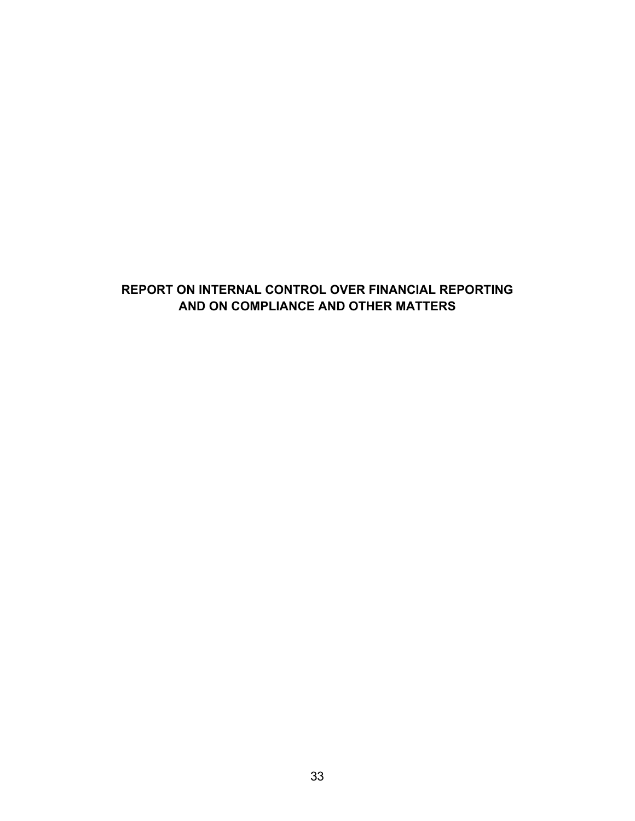# **REPORT ON INTERNAL CONTROL OVER FINANCIAL REPORTING AND ON COMPLIANCE AND OTHER MATTERS**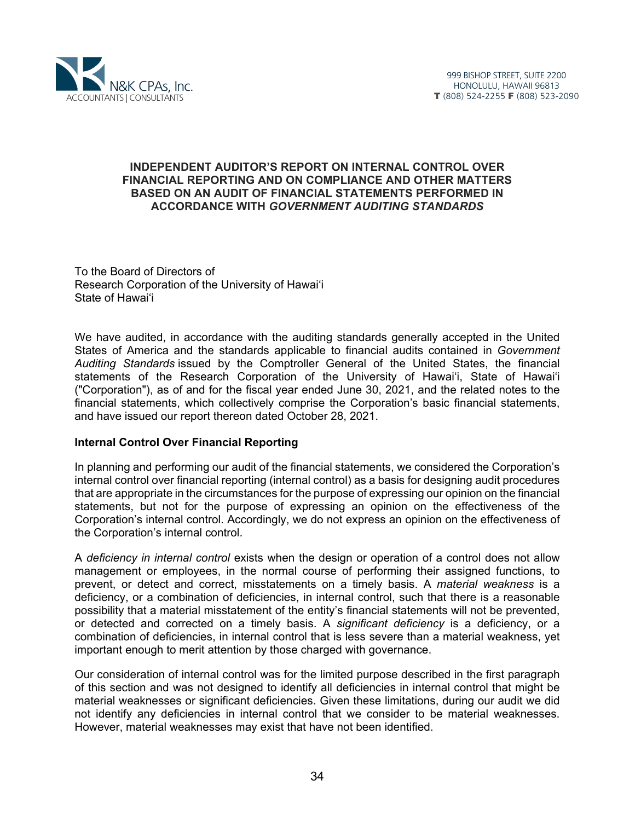

#### **INDEPENDENT AUDITOR'S REPORT ON INTERNAL CONTROL OVER FINANCIAL REPORTING AND ON COMPLIANCE AND OTHER MATTERS BASED ON AN AUDIT OF FINANCIAL STATEMENTS PERFORMED IN ACCORDANCE WITH** *GOVERNMENT AUDITING STANDARDS*

To the Board of Directors of Research Corporation of the University of Hawaiʻi State of Hawaiʻi

We have audited, in accordance with the auditing standards generally accepted in the United States of America and the standards applicable to financial audits contained in *Government Auditing Standards* issued by the Comptroller General of the United States, the financial statements of the Research Corporation of the University of Hawaiʻi, State of Hawaiʻi ("Corporation"), as of and for the fiscal year ended June 30, 2021, and the related notes to the financial statements, which collectively comprise the Corporation's basic financial statements, and have issued our report thereon dated October 28, 2021.

### **Internal Control Over Financial Reporting**

In planning and performing our audit of the financial statements, we considered the Corporation's internal control over financial reporting (internal control) as a basis for designing audit procedures that are appropriate in the circumstances for the purpose of expressing our opinion on the financial statements, but not for the purpose of expressing an opinion on the effectiveness of the Corporation's internal control. Accordingly, we do not express an opinion on the effectiveness of the Corporation's internal control.

A *deficiency in internal control* exists when the design or operation of a control does not allow management or employees, in the normal course of performing their assigned functions, to prevent, or detect and correct, misstatements on a timely basis. A *material weakness* is a deficiency, or a combination of deficiencies, in internal control, such that there is a reasonable possibility that a material misstatement of the entity's financial statements will not be prevented, or detected and corrected on a timely basis. A *significant deficiency* is a deficiency, or a combination of deficiencies, in internal control that is less severe than a material weakness, yet important enough to merit attention by those charged with governance.

Our consideration of internal control was for the limited purpose described in the first paragraph of this section and was not designed to identify all deficiencies in internal control that might be material weaknesses or significant deficiencies. Given these limitations, during our audit we did not identify any deficiencies in internal control that we consider to be material weaknesses. However, material weaknesses may exist that have not been identified.